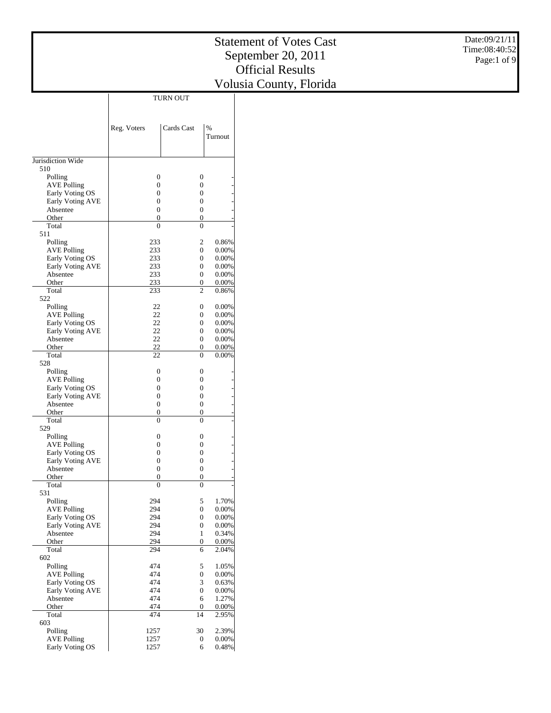|                                       |                                    |                                      |                | <b>Statement of Votes Cast</b> | Date:09/21/11 |
|---------------------------------------|------------------------------------|--------------------------------------|----------------|--------------------------------|---------------|
|                                       |                                    |                                      |                | September 20, 2011             | Time:08:40:52 |
|                                       |                                    |                                      |                | <b>Official Results</b>        | Page:1 of 9   |
|                                       |                                    |                                      |                |                                |               |
|                                       |                                    |                                      |                | Volusia County, Florida        |               |
|                                       |                                    | <b>TURN OUT</b>                      |                |                                |               |
|                                       |                                    |                                      |                |                                |               |
|                                       | Reg. Voters                        | Cards Cast                           | $\%$           |                                |               |
|                                       |                                    |                                      | Turnout        |                                |               |
|                                       |                                    |                                      |                |                                |               |
| Jurisdiction Wide                     |                                    |                                      |                |                                |               |
| 510                                   |                                    |                                      |                |                                |               |
| Polling<br><b>AVE Polling</b>         | $\boldsymbol{0}$<br>$\overline{0}$ | $\boldsymbol{0}$<br>$\boldsymbol{0}$ |                |                                |               |
| Early Voting OS                       | $\mathbf{0}$                       | $\boldsymbol{0}$                     |                |                                |               |
| Early Voting AVE                      | $\mathbf{0}$                       | $\boldsymbol{0}$                     |                |                                |               |
| Absentee<br>Other                     | $\mathbf{0}$<br>$\mathbf{0}$       | $\boldsymbol{0}$<br>$\boldsymbol{0}$ |                |                                |               |
| Total                                 | $\mathbf{0}$                       | $\boldsymbol{0}$                     |                |                                |               |
| 511                                   |                                    |                                      |                |                                |               |
| Polling                               | 233<br>233                         | $\overline{c}$<br>$\boldsymbol{0}$   | 0.86%<br>0.00% |                                |               |
| <b>AVE Polling</b><br>Early Voting OS | 233                                | $\boldsymbol{0}$                     | 0.00%          |                                |               |
| Early Voting AVE                      | 233                                | $\boldsymbol{0}$                     | 0.00%          |                                |               |
| Absentee                              | 233                                | $\boldsymbol{0}$                     | 0.00%          |                                |               |
| Other<br>Total                        | 233<br>233                         | $\boldsymbol{0}$<br>$\mathfrak{2}$   | 0.00%<br>0.86% |                                |               |
| 522                                   |                                    |                                      |                |                                |               |
| Polling                               | 22                                 | $\boldsymbol{0}$                     | 0.00%          |                                |               |
| <b>AVE Polling</b><br>Early Voting OS | $22\,$<br>$22\,$                   | $\boldsymbol{0}$<br>$\boldsymbol{0}$ | 0.00%<br>0.00% |                                |               |
| Early Voting AVE                      | $22\,$                             | $\boldsymbol{0}$                     | 0.00%          |                                |               |
| Absentee                              | $22\,$                             | $\boldsymbol{0}$                     | 0.00%          |                                |               |
| Other<br>Total                        | 22<br>22                           | $\boldsymbol{0}$<br>$\boldsymbol{0}$ | 0.00%<br>0.00% |                                |               |
| 528                                   |                                    |                                      |                |                                |               |
| Polling                               | $\boldsymbol{0}$                   | $\boldsymbol{0}$                     |                |                                |               |
| <b>AVE Polling</b>                    | $\mathbf{0}$                       | $\boldsymbol{0}$                     |                |                                |               |
| Early Voting OS<br>Early Voting AVE   | $\boldsymbol{0}$<br>$\mathbf{0}$   | $\boldsymbol{0}$<br>$\boldsymbol{0}$ |                |                                |               |
| Absentee                              | $\boldsymbol{0}$                   | $\boldsymbol{0}$                     |                |                                |               |
| Other                                 | $\mathbf{0}$                       | $\boldsymbol{0}$                     |                |                                |               |
| Total<br>529                          | $\overline{0}$                     | $\mathbf{0}$                         |                |                                |               |
| Polling                               | $\boldsymbol{0}$                   | $\boldsymbol{0}$                     |                |                                |               |
| <b>AVE Polling</b>                    | $\mathbf{0}$                       | $\boldsymbol{0}$                     |                |                                |               |
| Early Voting OS<br>Early Voting AVE   | $\boldsymbol{0}$<br>$\mathbf{0}$   | $\boldsymbol{0}$<br>$\boldsymbol{0}$ |                |                                |               |
| Absentee                              | $\boldsymbol{0}$                   | $\boldsymbol{0}$                     |                |                                |               |
| Other                                 | $\mathbf{0}$                       | $\boldsymbol{0}$                     |                |                                |               |
| Total<br>531                          | $\mathbf{0}$                       | $\boldsymbol{0}$                     |                |                                |               |
| Polling                               | 294                                | $\sqrt{5}$                           | 1.70%          |                                |               |
| <b>AVE Polling</b>                    | 294                                | $\boldsymbol{0}$                     | 0.00%          |                                |               |
| Early Voting OS<br>Early Voting AVE   | 294<br>294                         | $\boldsymbol{0}$<br>$\boldsymbol{0}$ | 0.00%<br>0.00% |                                |               |
| Absentee                              | 294                                | $\mathbf{1}$                         | 0.34%          |                                |               |
| Other                                 | 294                                | $\boldsymbol{0}$                     | 0.00%          |                                |               |
| Total<br>602                          | 294                                | 6                                    | 2.04%          |                                |               |
| Polling                               | 474                                | 5                                    | 1.05%          |                                |               |
| <b>AVE Polling</b>                    | 474                                | $\boldsymbol{0}$                     | 0.00%          |                                |               |
| Early Voting OS                       | 474                                | $\ensuremath{\mathfrak{Z}}$          | 0.63%          |                                |               |
| Early Voting AVE<br>Absentee          | 474<br>474                         | $\boldsymbol{0}$<br>6                | 0.00%<br>1.27% |                                |               |
| Other                                 | 474                                | $\boldsymbol{0}$                     | 0.00%          |                                |               |
| Total                                 | 474                                | 14                                   | 2.95%          |                                |               |
| 603<br>Polling                        | 1257                               | 30                                   | 2.39%          |                                |               |
| <b>AVE Polling</b>                    | 1257                               | $\boldsymbol{0}$                     | $0.00\%$       |                                |               |
| Early Voting OS                       | 1257                               | 6                                    | 0.48%          |                                |               |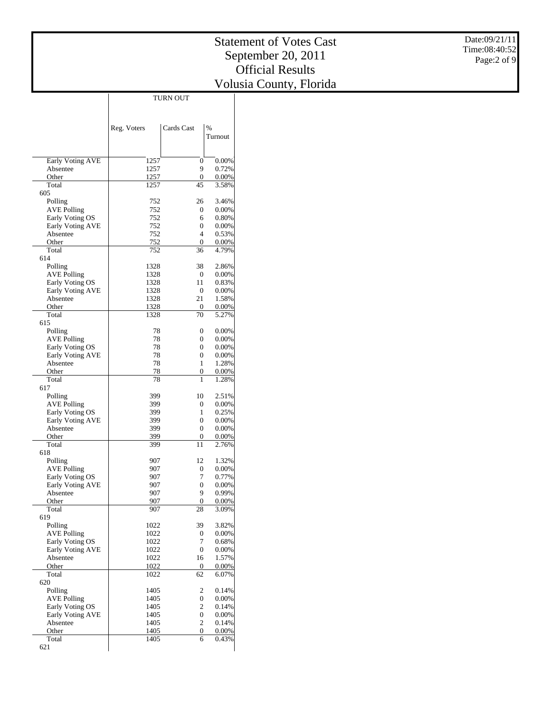|                                       | Reg. Voters  | Cards Cast         | %                 |
|---------------------------------------|--------------|--------------------|-------------------|
|                                       |              |                    | Turnout           |
|                                       |              |                    |                   |
| <b>Early Voting AVE</b>               | 1257         | $\mathbf{0}$       | 0.00%             |
| Absentee                              | 1257         | 9                  | 0.72%             |
| Other                                 | 1257         | $\mathbf{0}$       | $0.00\%$          |
| Total                                 | 1257         | 45                 | 3.58%             |
| 605<br>Polling                        | 752          | 26                 | 3.46%             |
| AVE Polling                           | 752          | $\mathbf{0}$       | $0.00\%$          |
| Early Voting OS                       | 752          | 6                  | 0.80%             |
| <b>Early Voting AVE</b>               | 752          | 0                  | $0.00\%$          |
| Absentee                              | 752          | 4<br>$\mathbf{0}$  | 0.53%             |
| Other<br>Total                        | 752<br>752   | 36                 | $0.00\%$<br>4.79% |
| 614                                   |              |                    |                   |
| Polling                               | 1328         | 38                 | 2.86%             |
| AVE Polling                           | 1328         | $\boldsymbol{0}$   | $0.00\%$          |
| Early Voting OS                       | 1328         | 11                 | 0.83%             |
| <b>Early Voting AVE</b><br>Absentee   | 1328<br>1328 | $\mathbf{0}$<br>21 | $0.00\%$<br>1.58% |
| Other                                 | 1328         | 0                  | $0.00\%$          |
| Total                                 | 1328         | 70                 | 5.27%             |
| 615                                   |              |                    |                   |
| Polling                               | 78           | $\mathbf{0}$       | 0.00%             |
| AVE Polling<br>Early Voting OS        | 78<br>78     | 0<br>0             | 0.00%<br>$0.00\%$ |
| <b>Early Voting AVE</b>               | 78           | 0                  | 0.00%             |
| Absentee                              | 78           | 1                  | 1.28%             |
| Other                                 | 78           | 0                  | $0.00\%$          |
| Total                                 | 78           | 1                  | 1.28%             |
| 617<br>Polling                        | 399          | 10                 | 2.51%             |
| AVE Polling                           | 399          | 0                  | $0.00\%$          |
| Early Voting OS                       | 399          | 1                  | 0.25%             |
| <b>Early Voting AVE</b>               | 399          | 0                  | $0.00\%$          |
| Absentee                              | 399          | $\mathbf{0}$       | $0.00\%$          |
| Other<br>Total                        | 399<br>399   | 0<br>11            | $0.00\%$<br>2.76% |
| 618                                   |              |                    |                   |
| Polling                               | 907          | 12                 | 1.32%             |
| <b>AVE Polling</b>                    | 907          | $\mathbf{0}$       | 0.00%             |
| Early Voting OS                       | 907<br>907   | 7                  | 0.77%             |
| <b>Early Voting AVE</b><br>Absentee   | 907          | 0<br>9             | 0.00%<br>0.99%    |
| Other                                 | 907          | 0                  | 0.00%             |
| Total                                 | 907          | 28                 | 3.09%             |
| 619                                   |              |                    |                   |
| Polling                               | 1022         | 39                 | 3.82%             |
| <b>AVE Polling</b><br>Early Voting OS | 1022<br>1022 | 0<br>7             | 0.00%<br>0.68%    |
| Early Voting AVE                      | 1022         | 0                  | 0.00%             |
| Absentee                              | 1022         | 16                 | 1.57%             |
| Other                                 | 1022         | $\boldsymbol{0}$   | 0.00%             |
| Total                                 | 1022         | 62                 | 6.07%             |
| 620<br>Polling                        | 1405         | 2                  |                   |
| <b>AVE Polling</b>                    | 1405         | 0                  | 0.14%<br>0.00%    |
| Early Voting OS                       | 1405         | $\overline{c}$     | 0.14%             |
| Early Voting AVE                      | 1405         | $\overline{0}$     | 0.00%             |
| Absentee                              | 1405         | $\overline{c}$     | 0.14%             |
| Other<br>Total                        | 1405<br>1405 | $\mathbf{0}$<br>6  | 0.00%             |
| 621                                   |              |                    | 0.43%             |
|                                       |              |                    |                   |

TURN OUT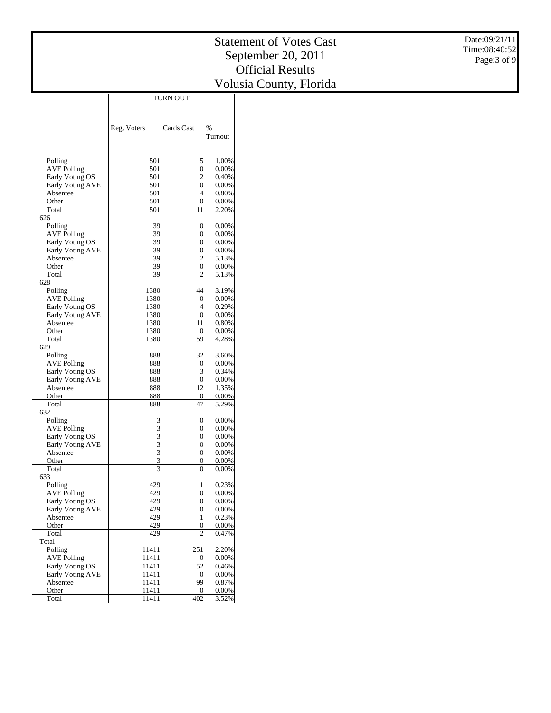|                                     | Reg. Voters | Cards Cast       | $\%$     |
|-------------------------------------|-------------|------------------|----------|
|                                     |             |                  | Turnout  |
|                                     |             |                  |          |
| Polling                             | 501         | 5                | 1.00%    |
| AVE Polling                         | 501         | 0                | 0.00%    |
| Early Voting OS                     | 501         | $\overline{c}$   | 0.40%    |
| Early Voting AVE                    | 501         | $\mathbf{0}$     | 0.00%    |
| Absentee                            | 501         | 4                | 0.80%    |
| Other                               | 501         | 0                | 0.00%    |
| Total                               | 501         | 11               | 2.20%    |
| 626                                 |             |                  |          |
| Polling                             | 39          | 0                | 0.00%    |
| AVE Polling                         | 39          | 0                | 0.00%    |
| Early Voting OS                     | 39          | 0                | 0.00%    |
| Early Voting AVE                    | 39          | 0                | 0.00%    |
| Absentee                            | 39          | 2                | 5.13%    |
| Other                               | 39          | 0                | 0.00%    |
| Total                               | 39          | 2                | 5.13%    |
| 628                                 |             |                  |          |
| Polling                             | 1380        | 44               | 3.19%    |
| AVE Polling                         | 1380        | 0                | 0.00%    |
| Early Voting OS                     | 1380        | 4                | 0.29%    |
| Early Voting AVE                    | 1380        | $\mathbf{0}$     | $0.00\%$ |
| Absentee                            | 1380        | 11               | 0.80%    |
| Other                               | 1380        | 0                | 0.00%    |
| Total                               | 1380        | 59               | 4.28%    |
| 629                                 |             |                  |          |
| Polling                             | 888         | 32               | 3.60%    |
| AVE Polling                         | 888         | 0                | 0.00%    |
| Early Voting OS                     | 888         | 3                | 0.34%    |
| Early Voting AVE                    | 888         | 0                | $0.00\%$ |
| Absentee                            | 888         | 12               | 1.35%    |
| Other                               | 888         | 0                | 0.00%    |
| Total                               | 888         | 47               | 5.29%    |
| 632                                 |             |                  |          |
| Polling                             | 3           | 0                | 0.00%    |
| AVE Polling                         | 3           | 0                | 0.00%    |
| Early Voting OS                     | 3           | 0                | 0.00%    |
| Early Voting AVE                    | 3           | 0                | $0.00\%$ |
| Absentee                            | 3<br>3      | 0                | 0.00%    |
| Other<br>Total                      | 3           | 0<br>0           | 0.00%    |
| 633                                 |             |                  | 0.00%    |
| Polling                             | 429         | 1                | 0.23%    |
| AVE Polling                         | 429         | 0                | 0.00%    |
|                                     | 429         | $\boldsymbol{0}$ | $0.00\%$ |
| Early Voting OS<br>Early Voting AVE | 429         | 0                | 0.00%    |
| Absentee                            | 429         | $\mathbf{1}$     | 0.23%    |
| Other                               | 429         | 0                | 0.00%    |
| Total                               | 429         | $\overline{c}$   | 0.47%    |
| Total                               |             |                  |          |
| Polling                             | 11411       | 251              | 2.20%    |
| <b>AVE Polling</b>                  | 11411       | 0                | 0.00%    |
| Early Voting OS                     | 11411       | 52               | 0.46%    |
| Early Voting AVE                    | 11411       | 0                | 0.00%    |
| Absentee                            | 11411       | 99               | 0.87%    |
| Other                               | 11411       | 0                | 0.00%    |
| Total                               | 11411       | 402              | 3.52%    |

TURN OUT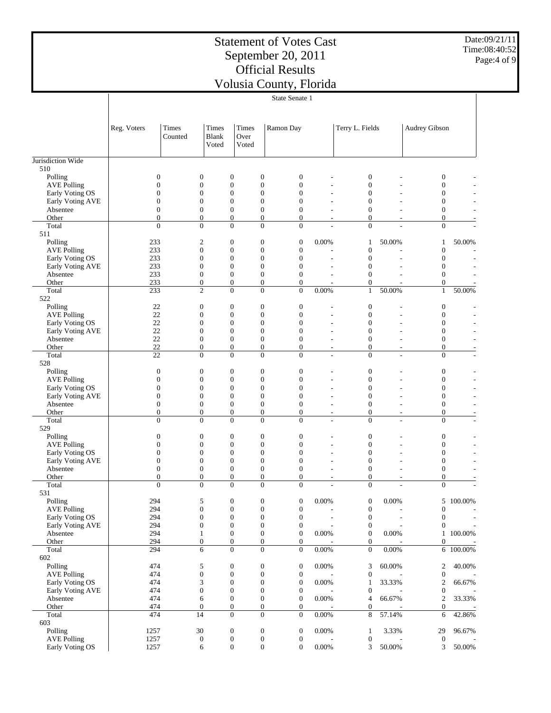Date:09/21/11 Time:08:40:52 Page:4 of 9

| Times<br>Times<br>Terry L. Fields<br>Audrey Gibson<br>Reg. Voters<br>Times<br>Ramon Day<br>Blank<br>Over<br>Counted<br>Voted<br>Voted<br>510<br>$\boldsymbol{0}$<br>$\boldsymbol{0}$<br>Polling<br>$\mathbf{0}$<br>$\boldsymbol{0}$<br>$\mathbf{0}$<br>0<br>0<br>$\boldsymbol{0}$<br>$\mathbf{0}$<br>$\boldsymbol{0}$<br>$\boldsymbol{0}$<br>$\boldsymbol{0}$<br>$\overline{0}$<br>$\boldsymbol{0}$<br><b>AVE Polling</b><br>$\boldsymbol{0}$<br>$\boldsymbol{0}$<br>$\boldsymbol{0}$<br>$\boldsymbol{0}$<br>$\boldsymbol{0}$<br>$\boldsymbol{0}$<br>$\boldsymbol{0}$<br>Early Voting OS<br>$\mathbf{0}$<br>$\boldsymbol{0}$<br>$\overline{0}$<br>$\overline{0}$<br>$\overline{0}$<br>$\overline{0}$<br>Early Voting AVE<br>$\overline{0}$<br>$\boldsymbol{0}$<br>$\mathbf{0}$<br>$\mathbf{0}$<br>$\mathbf{0}$<br>$\boldsymbol{0}$<br>$\mathbf{0}$<br>$\boldsymbol{0}$<br>Absentee<br>$\boldsymbol{0}$<br>$\boldsymbol{0}$<br>$\boldsymbol{0}$<br>$\boldsymbol{0}$<br>$\boldsymbol{0}$<br>Other<br>0<br>$\mathbf{0}$<br>$\overline{\phantom{a}}$<br>٠<br>$\overline{0}$<br>$\Omega$<br>$\overline{0}$<br>$\overline{0}$<br>$\overline{0}$<br>$\overline{0}$<br>$\overline{0}$<br>Total<br>511<br>$\mathfrak{2}$<br>$\boldsymbol{0}$<br>$\boldsymbol{0}$<br>Polling<br>233<br>$\boldsymbol{0}$<br>0.00%<br>50.00%<br>50.00%<br>1<br>1<br>$\boldsymbol{0}$<br>$\mathbf{0}$<br>$\boldsymbol{0}$<br>$\boldsymbol{0}$<br>$\boldsymbol{0}$<br><b>AVE Polling</b><br>233<br>$\boldsymbol{0}$<br>$\boldsymbol{0}$<br>$\boldsymbol{0}$<br>$\boldsymbol{0}$<br>$\boldsymbol{0}$<br>$\boldsymbol{0}$<br>Early Voting OS<br>233<br>$\boldsymbol{0}$<br>$\boldsymbol{0}$<br>$\boldsymbol{0}$<br>$\overline{0}$<br>$\boldsymbol{0}$<br>$\overline{0}$<br>Early Voting AVE<br>233<br>0<br>$\boldsymbol{0}$<br>233<br>$\boldsymbol{0}$<br>$\boldsymbol{0}$<br>$\boldsymbol{0}$<br>$\mathbf{0}$<br>$\boldsymbol{0}$<br>Absentee<br>$\mathbf{0}$<br>233<br>$\boldsymbol{0}$<br>$\boldsymbol{0}$<br>$\boldsymbol{0}$<br>$\boldsymbol{0}$<br>$\boldsymbol{0}$<br>Other<br>$\overline{\phantom{a}}$<br>$\overline{c}$<br>$\overline{0}$<br>$\mathbf{0}$<br>$\overline{0}$<br>0.00%<br>50.00%<br>Total<br>233<br>$\mathbf{1}$<br>$\mathbf{1}$<br>50.00%<br>522<br>$\boldsymbol{0}$<br>$\boldsymbol{0}$<br>$\boldsymbol{0}$<br>Polling<br>22<br>$\boldsymbol{0}$<br>$\boldsymbol{0}$<br>$\boldsymbol{0}$<br>$\mathbf{0}$<br>$\boldsymbol{0}$<br>$\mathbf{0}$<br>22<br>$\boldsymbol{0}$<br>$\boldsymbol{0}$<br>$\boldsymbol{0}$<br><b>AVE Polling</b><br>22<br>$\boldsymbol{0}$<br>$\boldsymbol{0}$<br>$\boldsymbol{0}$<br>$\boldsymbol{0}$<br>$\boldsymbol{0}$<br>$\boldsymbol{0}$<br>Early Voting OS<br>22<br>$\mathbf{0}$<br>$\boldsymbol{0}$<br>$\overline{0}$<br>$\overline{0}$<br>$\overline{0}$<br>$\overline{0}$<br>Early Voting AVE<br>$\boldsymbol{0}$<br>$\boldsymbol{0}$<br>22<br>$\boldsymbol{0}$<br>$\boldsymbol{0}$<br>$\mathbf{0}$<br>$\boldsymbol{0}$<br>Absentee<br>22<br>$\boldsymbol{0}$<br>$\boldsymbol{0}$<br>$\boldsymbol{0}$<br>$\overline{0}$<br>$\boldsymbol{0}$<br>$\mathbf{0}$<br>Other<br>$\overline{\phantom{a}}$<br>$\overline{a}$<br>$\overline{\phantom{a}}$<br>$\overline{0}$<br>Total<br>$\overline{0}$<br>$\overline{0}$<br>$\overline{0}$<br>$\overline{0}$<br>$\overline{0}$<br>22<br>÷<br>528<br>$\boldsymbol{0}$<br>$\boldsymbol{0}$<br>$\boldsymbol{0}$<br>$\boldsymbol{0}$<br>$\boldsymbol{0}$<br>$\boldsymbol{0}$<br>$\boldsymbol{0}$<br>Polling<br>$\mathbf{0}$<br>$\boldsymbol{0}$<br>$\boldsymbol{0}$<br>$\boldsymbol{0}$<br>$\boldsymbol{0}$<br>$\boldsymbol{0}$<br>$\mathbf{0}$<br><b>AVE Polling</b><br>$\boldsymbol{0}$<br>$\boldsymbol{0}$<br>$\boldsymbol{0}$<br>$\boldsymbol{0}$<br>$\boldsymbol{0}$<br>$\boldsymbol{0}$<br>$\boldsymbol{0}$<br>Early Voting OS<br>$\mathbf{0}$<br>$\boldsymbol{0}$<br>$\overline{0}$<br>$\overline{0}$<br>$\overline{0}$<br>Early Voting AVE<br>$\overline{0}$<br>$\mathbf{0}$<br>$\boldsymbol{0}$<br>$\boldsymbol{0}$<br>$\boldsymbol{0}$<br>$\boldsymbol{0}$<br>$\boldsymbol{0}$<br>$\boldsymbol{0}$<br>$\boldsymbol{0}$<br>Absentee<br>$\boldsymbol{0}$<br>$\boldsymbol{0}$<br>$\boldsymbol{0}$<br>$\boldsymbol{0}$<br>$\boldsymbol{0}$<br>$\boldsymbol{0}$<br>$\mathbf{0}$<br>Other<br>$\overline{a}$<br>$\overline{\phantom{a}}$<br>$\overline{\phantom{a}}$<br>$\overline{0}$<br>Total<br>$\overline{0}$<br>$\overline{0}$<br>$\overline{0}$<br>$\overline{0}$<br>$\overline{0}$<br>$\overline{0}$<br>529<br>$\boldsymbol{0}$<br>$\boldsymbol{0}$<br>$\boldsymbol{0}$<br>$\boldsymbol{0}$<br>$\boldsymbol{0}$<br>Polling<br>$\mathbf{0}$<br>$\boldsymbol{0}$<br>$\boldsymbol{0}$<br>$\boldsymbol{0}$<br>$\boldsymbol{0}$<br>$\boldsymbol{0}$<br>$\boldsymbol{0}$<br>$\boldsymbol{0}$<br>$\mathbf{0}$<br><b>AVE Polling</b><br>$\boldsymbol{0}$<br>$\boldsymbol{0}$<br>$\boldsymbol{0}$<br>$\boldsymbol{0}$<br>$\boldsymbol{0}$<br>$\boldsymbol{0}$<br>$\boldsymbol{0}$<br>Early Voting OS<br>$\mathbf{0}$<br>$\boldsymbol{0}$<br>$\overline{0}$<br>$\overline{0}$<br>$\overline{0}$<br>Early Voting AVE<br>$\overline{0}$<br>$\mathbf{0}$<br>$\boldsymbol{0}$<br>$\boldsymbol{0}$<br>$\boldsymbol{0}$<br>$\boldsymbol{0}$<br>$\boldsymbol{0}$<br>$\boldsymbol{0}$<br>$\boldsymbol{0}$<br>Absentee<br>$\boldsymbol{0}$<br>0<br>$\boldsymbol{0}$<br>$\mathbf{0}$<br>$\overline{0}$<br>$\boldsymbol{0}$<br>$\mathbf{0}$<br>Other<br>$\overline{\phantom{a}}$<br>٠<br>$\overline{\phantom{a}}$<br>$\overline{0}$<br>$\overline{0}$<br>$\theta$<br>$\overline{0}$<br>$\overline{0}$<br>$\overline{0}$<br>$\overline{0}$<br>Total<br>531<br>294<br>$\sqrt{5}$<br>$\boldsymbol{0}$<br>0.00%<br>0.00%<br>5 100.00%<br>$\boldsymbol{0}$<br>$\boldsymbol{0}$<br>$\boldsymbol{0}$<br>Polling<br>294<br>$\boldsymbol{0}$<br>$\boldsymbol{0}$<br>$\boldsymbol{0}$<br>$\boldsymbol{0}$<br>$\boldsymbol{0}$<br><b>AVE Polling</b><br>$\boldsymbol{0}$<br>294<br>$\boldsymbol{0}$<br>$\boldsymbol{0}$<br>$\boldsymbol{0}$<br>Early Voting OS<br>$\boldsymbol{0}$<br>$\boldsymbol{0}$<br>$\boldsymbol{0}$<br>Early Voting AVE<br>294<br>$\boldsymbol{0}$<br>$\boldsymbol{0}$<br>$\boldsymbol{0}$<br>$\boldsymbol{0}$<br>$\boldsymbol{0}$<br>$\boldsymbol{0}$<br>$\overline{a}$<br>$0.00\%$<br>294<br>$\boldsymbol{0}$<br>$\boldsymbol{0}$<br>$\boldsymbol{0}$<br>$\boldsymbol{0}$<br>0.00%<br>1 100.00%<br>Absentee<br>$\mathbf{1}$<br>$\boldsymbol{0}$<br>Other<br>294<br>$\boldsymbol{0}$<br>$\boldsymbol{0}$<br>$\boldsymbol{0}$<br>$\boldsymbol{0}$<br>0<br>Total<br>6<br>$\boldsymbol{0}$<br>$\boldsymbol{0}$<br>$\boldsymbol{0}$<br>$0.00\%$<br>$\boldsymbol{0}$<br>$0.00\%$<br>$6\overline{100.00\%}$<br>294<br>602<br>$\sqrt{5}$<br>$\boldsymbol{0}$<br>Polling<br>474<br>$\boldsymbol{0}$<br>$\boldsymbol{0}$<br>0.00%<br>2<br>40.00%<br>3<br>60.00%<br>$\boldsymbol{0}$<br>$\boldsymbol{0}$<br>$\boldsymbol{0}$<br><b>AVE Polling</b><br>474<br>$\boldsymbol{0}$<br>$\boldsymbol{0}$<br>$\boldsymbol{0}$<br>3<br>$\boldsymbol{0}$<br>$\boldsymbol{0}$<br>Early Voting OS<br>474<br>$\boldsymbol{0}$<br>0.00%<br>33.33%<br>$\overline{c}$<br>66.67%<br>$\mathbf{1}$<br>$\boldsymbol{0}$<br>$\boldsymbol{0}$<br>$\boldsymbol{0}$<br>$\boldsymbol{0}$<br>Early Voting AVE<br>474<br>$\boldsymbol{0}$<br>$\boldsymbol{0}$<br>$\boldsymbol{0}$<br>474<br>6<br>$\boldsymbol{0}$<br>$\boldsymbol{0}$<br>0.00%<br>66.67%<br>$\overline{c}$<br>33.33%<br>Absentee<br>4<br>Other<br>$\boldsymbol{0}$<br>$\boldsymbol{0}$<br>$\boldsymbol{0}$<br>$\boldsymbol{0}$<br>474<br>0<br>$\boldsymbol{0}$<br>$\boldsymbol{0}$<br>$\boldsymbol{0}$<br>Total<br>474<br>14<br>$\boldsymbol{0}$<br>$0.00\%$<br>8<br>57.14%<br>42.86%<br>6<br>603<br>30<br>$\boldsymbol{0}$<br>$\boldsymbol{0}$<br>Polling<br>1257<br>$\boldsymbol{0}$<br>0.00%<br>3.33%<br>96.67%<br>$\mathbf{1}$<br>29<br>$\boldsymbol{0}$<br>$\boldsymbol{0}$<br><b>AVE Polling</b><br>1257<br>$\boldsymbol{0}$<br>$\boldsymbol{0}$<br>$\boldsymbol{0}$<br>$\boldsymbol{0}$<br>$\overline{a}$<br>1257<br>6<br>$\boldsymbol{0}$<br>$\boldsymbol{0}$<br>$0.00\%$<br>3<br>50.00%<br>Early Voting OS<br>$\boldsymbol{0}$<br>3<br>50.00% |                   | State Senate 1 |  |  |  |  |  |  |  |
|---------------------------------------------------------------------------------------------------------------------------------------------------------------------------------------------------------------------------------------------------------------------------------------------------------------------------------------------------------------------------------------------------------------------------------------------------------------------------------------------------------------------------------------------------------------------------------------------------------------------------------------------------------------------------------------------------------------------------------------------------------------------------------------------------------------------------------------------------------------------------------------------------------------------------------------------------------------------------------------------------------------------------------------------------------------------------------------------------------------------------------------------------------------------------------------------------------------------------------------------------------------------------------------------------------------------------------------------------------------------------------------------------------------------------------------------------------------------------------------------------------------------------------------------------------------------------------------------------------------------------------------------------------------------------------------------------------------------------------------------------------------------------------------------------------------------------------------------------------------------------------------------------------------------------------------------------------------------------------------------------------------------------------------------------------------------------------------------------------------------------------------------------------------------------------------------------------------------------------------------------------------------------------------------------------------------------------------------------------------------------------------------------------------------------------------------------------------------------------------------------------------------------------------------------------------------------------------------------------------------------------------------------------------------------------------------------------------------------------------------------------------------------------------------------------------------------------------------------------------------------------------------------------------------------------------------------------------------------------------------------------------------------------------------------------------------------------------------------------------------------------------------------------------------------------------------------------------------------------------------------------------------------------------------------------------------------------------------------------------------------------------------------------------------------------------------------------------------------------------------------------------------------------------------------------------------------------------------------------------------------------------------------------------------------------------------------------------------------------------------------------------------------------------------------------------------------------------------------------------------------------------------------------------------------------------------------------------------------------------------------------------------------------------------------------------------------------------------------------------------------------------------------------------------------------------------------------------------------------------------------------------------------------------------------------------------------------------------------------------------------------------------------------------------------------------------------------------------------------------------------------------------------------------------------------------------------------------------------------------------------------------------------------------------------------------------------------------------------------------------------------------------------------------------------------------------------------------------------------------------------------------------------------------------------------------------------------------------------------------------------------------------------------------------------------------------------------------------------------------------------------------------------------------------------------------------------------------------------------------------------------------------------------------------------------------------------------------------------------------------------------------------------------------------------------------------------------------------------------------------------------------------------------------------------------------------------------------------------------------------------------------------------------------------------------------------------------------------------------------------------------------------------------------------------------------------------------------------------------------------------------------------------------------------------------------------------------------------------------------------------------------------------------------------------------------------------------------------------------------------------------------------------------------------------------------------------------------------------------------------------------------------------------------------------------------------------------------------------------------------------------------------------------------------------------------------------------------------------------------------------------------------------------------------------------------------------------------------------------------------------------------------------------------------------------------------------------------------------------------------------------------------------------------------------------------------------------------------------------------------------------------------------------------------------------------------------------------------------------------------------------------------------------------------------------------------------------------------------------------------------------------------------------------------------------------------------------------------------------------------------------------------------------------------------------------------------------------------------------------------------------------------------------------------------------------------------------------------------------------------------------------------------------------------------------------------------------------------------------------------------------------------------------------------------------------------------------------------------------------------------------------------------------------------------------------------------------------------------------------------------------------------------------------------------------------------------------------------------------------------------------------------------------------------------------------------------------------------------------------------------------------------|-------------------|----------------|--|--|--|--|--|--|--|
|                                                                                                                                                                                                                                                                                                                                                                                                                                                                                                                                                                                                                                                                                                                                                                                                                                                                                                                                                                                                                                                                                                                                                                                                                                                                                                                                                                                                                                                                                                                                                                                                                                                                                                                                                                                                                                                                                                                                                                                                                                                                                                                                                                                                                                                                                                                                                                                                                                                                                                                                                                                                                                                                                                                                                                                                                                                                                                                                                                                                                                                                                                                                                                                                                                                                                                                                                                                                                                                                                                                                                                                                                                                                                                                                                                                                                                                                                                                                                                                                                                                                                                                                                                                                                                                                                                                                                                                                                                                                                                                                                                                                                                                                                                                                                                                                                                                                                                                                                                                                                                                                                                                                                                                                                                                                                                                                                                                                                                                                                                                                                                                                                                                                                                                                                                                                                                                                                                                                                                                                                                                                                                                                                                                                                                                                                                                                                                                                                                                                                                                                                                                                                                                                                                                                                                                                                                                                                                                                                                                                                                                                                                                                                                                                                                                                                                                                                                                                                                                                                                                                                                                                                                                                                                                                                                                                                                                                                                                                                                                                                                                                                                                                             |                   |                |  |  |  |  |  |  |  |
|                                                                                                                                                                                                                                                                                                                                                                                                                                                                                                                                                                                                                                                                                                                                                                                                                                                                                                                                                                                                                                                                                                                                                                                                                                                                                                                                                                                                                                                                                                                                                                                                                                                                                                                                                                                                                                                                                                                                                                                                                                                                                                                                                                                                                                                                                                                                                                                                                                                                                                                                                                                                                                                                                                                                                                                                                                                                                                                                                                                                                                                                                                                                                                                                                                                                                                                                                                                                                                                                                                                                                                                                                                                                                                                                                                                                                                                                                                                                                                                                                                                                                                                                                                                                                                                                                                                                                                                                                                                                                                                                                                                                                                                                                                                                                                                                                                                                                                                                                                                                                                                                                                                                                                                                                                                                                                                                                                                                                                                                                                                                                                                                                                                                                                                                                                                                                                                                                                                                                                                                                                                                                                                                                                                                                                                                                                                                                                                                                                                                                                                                                                                                                                                                                                                                                                                                                                                                                                                                                                                                                                                                                                                                                                                                                                                                                                                                                                                                                                                                                                                                                                                                                                                                                                                                                                                                                                                                                                                                                                                                                                                                                                                                             |                   |                |  |  |  |  |  |  |  |
|                                                                                                                                                                                                                                                                                                                                                                                                                                                                                                                                                                                                                                                                                                                                                                                                                                                                                                                                                                                                                                                                                                                                                                                                                                                                                                                                                                                                                                                                                                                                                                                                                                                                                                                                                                                                                                                                                                                                                                                                                                                                                                                                                                                                                                                                                                                                                                                                                                                                                                                                                                                                                                                                                                                                                                                                                                                                                                                                                                                                                                                                                                                                                                                                                                                                                                                                                                                                                                                                                                                                                                                                                                                                                                                                                                                                                                                                                                                                                                                                                                                                                                                                                                                                                                                                                                                                                                                                                                                                                                                                                                                                                                                                                                                                                                                                                                                                                                                                                                                                                                                                                                                                                                                                                                                                                                                                                                                                                                                                                                                                                                                                                                                                                                                                                                                                                                                                                                                                                                                                                                                                                                                                                                                                                                                                                                                                                                                                                                                                                                                                                                                                                                                                                                                                                                                                                                                                                                                                                                                                                                                                                                                                                                                                                                                                                                                                                                                                                                                                                                                                                                                                                                                                                                                                                                                                                                                                                                                                                                                                                                                                                                                                             |                   |                |  |  |  |  |  |  |  |
|                                                                                                                                                                                                                                                                                                                                                                                                                                                                                                                                                                                                                                                                                                                                                                                                                                                                                                                                                                                                                                                                                                                                                                                                                                                                                                                                                                                                                                                                                                                                                                                                                                                                                                                                                                                                                                                                                                                                                                                                                                                                                                                                                                                                                                                                                                                                                                                                                                                                                                                                                                                                                                                                                                                                                                                                                                                                                                                                                                                                                                                                                                                                                                                                                                                                                                                                                                                                                                                                                                                                                                                                                                                                                                                                                                                                                                                                                                                                                                                                                                                                                                                                                                                                                                                                                                                                                                                                                                                                                                                                                                                                                                                                                                                                                                                                                                                                                                                                                                                                                                                                                                                                                                                                                                                                                                                                                                                                                                                                                                                                                                                                                                                                                                                                                                                                                                                                                                                                                                                                                                                                                                                                                                                                                                                                                                                                                                                                                                                                                                                                                                                                                                                                                                                                                                                                                                                                                                                                                                                                                                                                                                                                                                                                                                                                                                                                                                                                                                                                                                                                                                                                                                                                                                                                                                                                                                                                                                                                                                                                                                                                                                                                             | Jurisdiction Wide |                |  |  |  |  |  |  |  |
|                                                                                                                                                                                                                                                                                                                                                                                                                                                                                                                                                                                                                                                                                                                                                                                                                                                                                                                                                                                                                                                                                                                                                                                                                                                                                                                                                                                                                                                                                                                                                                                                                                                                                                                                                                                                                                                                                                                                                                                                                                                                                                                                                                                                                                                                                                                                                                                                                                                                                                                                                                                                                                                                                                                                                                                                                                                                                                                                                                                                                                                                                                                                                                                                                                                                                                                                                                                                                                                                                                                                                                                                                                                                                                                                                                                                                                                                                                                                                                                                                                                                                                                                                                                                                                                                                                                                                                                                                                                                                                                                                                                                                                                                                                                                                                                                                                                                                                                                                                                                                                                                                                                                                                                                                                                                                                                                                                                                                                                                                                                                                                                                                                                                                                                                                                                                                                                                                                                                                                                                                                                                                                                                                                                                                                                                                                                                                                                                                                                                                                                                                                                                                                                                                                                                                                                                                                                                                                                                                                                                                                                                                                                                                                                                                                                                                                                                                                                                                                                                                                                                                                                                                                                                                                                                                                                                                                                                                                                                                                                                                                                                                                                                             |                   |                |  |  |  |  |  |  |  |
|                                                                                                                                                                                                                                                                                                                                                                                                                                                                                                                                                                                                                                                                                                                                                                                                                                                                                                                                                                                                                                                                                                                                                                                                                                                                                                                                                                                                                                                                                                                                                                                                                                                                                                                                                                                                                                                                                                                                                                                                                                                                                                                                                                                                                                                                                                                                                                                                                                                                                                                                                                                                                                                                                                                                                                                                                                                                                                                                                                                                                                                                                                                                                                                                                                                                                                                                                                                                                                                                                                                                                                                                                                                                                                                                                                                                                                                                                                                                                                                                                                                                                                                                                                                                                                                                                                                                                                                                                                                                                                                                                                                                                                                                                                                                                                                                                                                                                                                                                                                                                                                                                                                                                                                                                                                                                                                                                                                                                                                                                                                                                                                                                                                                                                                                                                                                                                                                                                                                                                                                                                                                                                                                                                                                                                                                                                                                                                                                                                                                                                                                                                                                                                                                                                                                                                                                                                                                                                                                                                                                                                                                                                                                                                                                                                                                                                                                                                                                                                                                                                                                                                                                                                                                                                                                                                                                                                                                                                                                                                                                                                                                                                                                             |                   |                |  |  |  |  |  |  |  |
|                                                                                                                                                                                                                                                                                                                                                                                                                                                                                                                                                                                                                                                                                                                                                                                                                                                                                                                                                                                                                                                                                                                                                                                                                                                                                                                                                                                                                                                                                                                                                                                                                                                                                                                                                                                                                                                                                                                                                                                                                                                                                                                                                                                                                                                                                                                                                                                                                                                                                                                                                                                                                                                                                                                                                                                                                                                                                                                                                                                                                                                                                                                                                                                                                                                                                                                                                                                                                                                                                                                                                                                                                                                                                                                                                                                                                                                                                                                                                                                                                                                                                                                                                                                                                                                                                                                                                                                                                                                                                                                                                                                                                                                                                                                                                                                                                                                                                                                                                                                                                                                                                                                                                                                                                                                                                                                                                                                                                                                                                                                                                                                                                                                                                                                                                                                                                                                                                                                                                                                                                                                                                                                                                                                                                                                                                                                                                                                                                                                                                                                                                                                                                                                                                                                                                                                                                                                                                                                                                                                                                                                                                                                                                                                                                                                                                                                                                                                                                                                                                                                                                                                                                                                                                                                                                                                                                                                                                                                                                                                                                                                                                                                                             |                   |                |  |  |  |  |  |  |  |
|                                                                                                                                                                                                                                                                                                                                                                                                                                                                                                                                                                                                                                                                                                                                                                                                                                                                                                                                                                                                                                                                                                                                                                                                                                                                                                                                                                                                                                                                                                                                                                                                                                                                                                                                                                                                                                                                                                                                                                                                                                                                                                                                                                                                                                                                                                                                                                                                                                                                                                                                                                                                                                                                                                                                                                                                                                                                                                                                                                                                                                                                                                                                                                                                                                                                                                                                                                                                                                                                                                                                                                                                                                                                                                                                                                                                                                                                                                                                                                                                                                                                                                                                                                                                                                                                                                                                                                                                                                                                                                                                                                                                                                                                                                                                                                                                                                                                                                                                                                                                                                                                                                                                                                                                                                                                                                                                                                                                                                                                                                                                                                                                                                                                                                                                                                                                                                                                                                                                                                                                                                                                                                                                                                                                                                                                                                                                                                                                                                                                                                                                                                                                                                                                                                                                                                                                                                                                                                                                                                                                                                                                                                                                                                                                                                                                                                                                                                                                                                                                                                                                                                                                                                                                                                                                                                                                                                                                                                                                                                                                                                                                                                                                             |                   |                |  |  |  |  |  |  |  |
|                                                                                                                                                                                                                                                                                                                                                                                                                                                                                                                                                                                                                                                                                                                                                                                                                                                                                                                                                                                                                                                                                                                                                                                                                                                                                                                                                                                                                                                                                                                                                                                                                                                                                                                                                                                                                                                                                                                                                                                                                                                                                                                                                                                                                                                                                                                                                                                                                                                                                                                                                                                                                                                                                                                                                                                                                                                                                                                                                                                                                                                                                                                                                                                                                                                                                                                                                                                                                                                                                                                                                                                                                                                                                                                                                                                                                                                                                                                                                                                                                                                                                                                                                                                                                                                                                                                                                                                                                                                                                                                                                                                                                                                                                                                                                                                                                                                                                                                                                                                                                                                                                                                                                                                                                                                                                                                                                                                                                                                                                                                                                                                                                                                                                                                                                                                                                                                                                                                                                                                                                                                                                                                                                                                                                                                                                                                                                                                                                                                                                                                                                                                                                                                                                                                                                                                                                                                                                                                                                                                                                                                                                                                                                                                                                                                                                                                                                                                                                                                                                                                                                                                                                                                                                                                                                                                                                                                                                                                                                                                                                                                                                                                                             |                   |                |  |  |  |  |  |  |  |
|                                                                                                                                                                                                                                                                                                                                                                                                                                                                                                                                                                                                                                                                                                                                                                                                                                                                                                                                                                                                                                                                                                                                                                                                                                                                                                                                                                                                                                                                                                                                                                                                                                                                                                                                                                                                                                                                                                                                                                                                                                                                                                                                                                                                                                                                                                                                                                                                                                                                                                                                                                                                                                                                                                                                                                                                                                                                                                                                                                                                                                                                                                                                                                                                                                                                                                                                                                                                                                                                                                                                                                                                                                                                                                                                                                                                                                                                                                                                                                                                                                                                                                                                                                                                                                                                                                                                                                                                                                                                                                                                                                                                                                                                                                                                                                                                                                                                                                                                                                                                                                                                                                                                                                                                                                                                                                                                                                                                                                                                                                                                                                                                                                                                                                                                                                                                                                                                                                                                                                                                                                                                                                                                                                                                                                                                                                                                                                                                                                                                                                                                                                                                                                                                                                                                                                                                                                                                                                                                                                                                                                                                                                                                                                                                                                                                                                                                                                                                                                                                                                                                                                                                                                                                                                                                                                                                                                                                                                                                                                                                                                                                                                                                             |                   |                |  |  |  |  |  |  |  |
|                                                                                                                                                                                                                                                                                                                                                                                                                                                                                                                                                                                                                                                                                                                                                                                                                                                                                                                                                                                                                                                                                                                                                                                                                                                                                                                                                                                                                                                                                                                                                                                                                                                                                                                                                                                                                                                                                                                                                                                                                                                                                                                                                                                                                                                                                                                                                                                                                                                                                                                                                                                                                                                                                                                                                                                                                                                                                                                                                                                                                                                                                                                                                                                                                                                                                                                                                                                                                                                                                                                                                                                                                                                                                                                                                                                                                                                                                                                                                                                                                                                                                                                                                                                                                                                                                                                                                                                                                                                                                                                                                                                                                                                                                                                                                                                                                                                                                                                                                                                                                                                                                                                                                                                                                                                                                                                                                                                                                                                                                                                                                                                                                                                                                                                                                                                                                                                                                                                                                                                                                                                                                                                                                                                                                                                                                                                                                                                                                                                                                                                                                                                                                                                                                                                                                                                                                                                                                                                                                                                                                                                                                                                                                                                                                                                                                                                                                                                                                                                                                                                                                                                                                                                                                                                                                                                                                                                                                                                                                                                                                                                                                                                                             |                   |                |  |  |  |  |  |  |  |
|                                                                                                                                                                                                                                                                                                                                                                                                                                                                                                                                                                                                                                                                                                                                                                                                                                                                                                                                                                                                                                                                                                                                                                                                                                                                                                                                                                                                                                                                                                                                                                                                                                                                                                                                                                                                                                                                                                                                                                                                                                                                                                                                                                                                                                                                                                                                                                                                                                                                                                                                                                                                                                                                                                                                                                                                                                                                                                                                                                                                                                                                                                                                                                                                                                                                                                                                                                                                                                                                                                                                                                                                                                                                                                                                                                                                                                                                                                                                                                                                                                                                                                                                                                                                                                                                                                                                                                                                                                                                                                                                                                                                                                                                                                                                                                                                                                                                                                                                                                                                                                                                                                                                                                                                                                                                                                                                                                                                                                                                                                                                                                                                                                                                                                                                                                                                                                                                                                                                                                                                                                                                                                                                                                                                                                                                                                                                                                                                                                                                                                                                                                                                                                                                                                                                                                                                                                                                                                                                                                                                                                                                                                                                                                                                                                                                                                                                                                                                                                                                                                                                                                                                                                                                                                                                                                                                                                                                                                                                                                                                                                                                                                                                             |                   |                |  |  |  |  |  |  |  |
|                                                                                                                                                                                                                                                                                                                                                                                                                                                                                                                                                                                                                                                                                                                                                                                                                                                                                                                                                                                                                                                                                                                                                                                                                                                                                                                                                                                                                                                                                                                                                                                                                                                                                                                                                                                                                                                                                                                                                                                                                                                                                                                                                                                                                                                                                                                                                                                                                                                                                                                                                                                                                                                                                                                                                                                                                                                                                                                                                                                                                                                                                                                                                                                                                                                                                                                                                                                                                                                                                                                                                                                                                                                                                                                                                                                                                                                                                                                                                                                                                                                                                                                                                                                                                                                                                                                                                                                                                                                                                                                                                                                                                                                                                                                                                                                                                                                                                                                                                                                                                                                                                                                                                                                                                                                                                                                                                                                                                                                                                                                                                                                                                                                                                                                                                                                                                                                                                                                                                                                                                                                                                                                                                                                                                                                                                                                                                                                                                                                                                                                                                                                                                                                                                                                                                                                                                                                                                                                                                                                                                                                                                                                                                                                                                                                                                                                                                                                                                                                                                                                                                                                                                                                                                                                                                                                                                                                                                                                                                                                                                                                                                                                                             |                   |                |  |  |  |  |  |  |  |
|                                                                                                                                                                                                                                                                                                                                                                                                                                                                                                                                                                                                                                                                                                                                                                                                                                                                                                                                                                                                                                                                                                                                                                                                                                                                                                                                                                                                                                                                                                                                                                                                                                                                                                                                                                                                                                                                                                                                                                                                                                                                                                                                                                                                                                                                                                                                                                                                                                                                                                                                                                                                                                                                                                                                                                                                                                                                                                                                                                                                                                                                                                                                                                                                                                                                                                                                                                                                                                                                                                                                                                                                                                                                                                                                                                                                                                                                                                                                                                                                                                                                                                                                                                                                                                                                                                                                                                                                                                                                                                                                                                                                                                                                                                                                                                                                                                                                                                                                                                                                                                                                                                                                                                                                                                                                                                                                                                                                                                                                                                                                                                                                                                                                                                                                                                                                                                                                                                                                                                                                                                                                                                                                                                                                                                                                                                                                                                                                                                                                                                                                                                                                                                                                                                                                                                                                                                                                                                                                                                                                                                                                                                                                                                                                                                                                                                                                                                                                                                                                                                                                                                                                                                                                                                                                                                                                                                                                                                                                                                                                                                                                                                                                             |                   |                |  |  |  |  |  |  |  |
|                                                                                                                                                                                                                                                                                                                                                                                                                                                                                                                                                                                                                                                                                                                                                                                                                                                                                                                                                                                                                                                                                                                                                                                                                                                                                                                                                                                                                                                                                                                                                                                                                                                                                                                                                                                                                                                                                                                                                                                                                                                                                                                                                                                                                                                                                                                                                                                                                                                                                                                                                                                                                                                                                                                                                                                                                                                                                                                                                                                                                                                                                                                                                                                                                                                                                                                                                                                                                                                                                                                                                                                                                                                                                                                                                                                                                                                                                                                                                                                                                                                                                                                                                                                                                                                                                                                                                                                                                                                                                                                                                                                                                                                                                                                                                                                                                                                                                                                                                                                                                                                                                                                                                                                                                                                                                                                                                                                                                                                                                                                                                                                                                                                                                                                                                                                                                                                                                                                                                                                                                                                                                                                                                                                                                                                                                                                                                                                                                                                                                                                                                                                                                                                                                                                                                                                                                                                                                                                                                                                                                                                                                                                                                                                                                                                                                                                                                                                                                                                                                                                                                                                                                                                                                                                                                                                                                                                                                                                                                                                                                                                                                                                                             |                   |                |  |  |  |  |  |  |  |
|                                                                                                                                                                                                                                                                                                                                                                                                                                                                                                                                                                                                                                                                                                                                                                                                                                                                                                                                                                                                                                                                                                                                                                                                                                                                                                                                                                                                                                                                                                                                                                                                                                                                                                                                                                                                                                                                                                                                                                                                                                                                                                                                                                                                                                                                                                                                                                                                                                                                                                                                                                                                                                                                                                                                                                                                                                                                                                                                                                                                                                                                                                                                                                                                                                                                                                                                                                                                                                                                                                                                                                                                                                                                                                                                                                                                                                                                                                                                                                                                                                                                                                                                                                                                                                                                                                                                                                                                                                                                                                                                                                                                                                                                                                                                                                                                                                                                                                                                                                                                                                                                                                                                                                                                                                                                                                                                                                                                                                                                                                                                                                                                                                                                                                                                                                                                                                                                                                                                                                                                                                                                                                                                                                                                                                                                                                                                                                                                                                                                                                                                                                                                                                                                                                                                                                                                                                                                                                                                                                                                                                                                                                                                                                                                                                                                                                                                                                                                                                                                                                                                                                                                                                                                                                                                                                                                                                                                                                                                                                                                                                                                                                                                             |                   |                |  |  |  |  |  |  |  |
|                                                                                                                                                                                                                                                                                                                                                                                                                                                                                                                                                                                                                                                                                                                                                                                                                                                                                                                                                                                                                                                                                                                                                                                                                                                                                                                                                                                                                                                                                                                                                                                                                                                                                                                                                                                                                                                                                                                                                                                                                                                                                                                                                                                                                                                                                                                                                                                                                                                                                                                                                                                                                                                                                                                                                                                                                                                                                                                                                                                                                                                                                                                                                                                                                                                                                                                                                                                                                                                                                                                                                                                                                                                                                                                                                                                                                                                                                                                                                                                                                                                                                                                                                                                                                                                                                                                                                                                                                                                                                                                                                                                                                                                                                                                                                                                                                                                                                                                                                                                                                                                                                                                                                                                                                                                                                                                                                                                                                                                                                                                                                                                                                                                                                                                                                                                                                                                                                                                                                                                                                                                                                                                                                                                                                                                                                                                                                                                                                                                                                                                                                                                                                                                                                                                                                                                                                                                                                                                                                                                                                                                                                                                                                                                                                                                                                                                                                                                                                                                                                                                                                                                                                                                                                                                                                                                                                                                                                                                                                                                                                                                                                                                                             |                   |                |  |  |  |  |  |  |  |
|                                                                                                                                                                                                                                                                                                                                                                                                                                                                                                                                                                                                                                                                                                                                                                                                                                                                                                                                                                                                                                                                                                                                                                                                                                                                                                                                                                                                                                                                                                                                                                                                                                                                                                                                                                                                                                                                                                                                                                                                                                                                                                                                                                                                                                                                                                                                                                                                                                                                                                                                                                                                                                                                                                                                                                                                                                                                                                                                                                                                                                                                                                                                                                                                                                                                                                                                                                                                                                                                                                                                                                                                                                                                                                                                                                                                                                                                                                                                                                                                                                                                                                                                                                                                                                                                                                                                                                                                                                                                                                                                                                                                                                                                                                                                                                                                                                                                                                                                                                                                                                                                                                                                                                                                                                                                                                                                                                                                                                                                                                                                                                                                                                                                                                                                                                                                                                                                                                                                                                                                                                                                                                                                                                                                                                                                                                                                                                                                                                                                                                                                                                                                                                                                                                                                                                                                                                                                                                                                                                                                                                                                                                                                                                                                                                                                                                                                                                                                                                                                                                                                                                                                                                                                                                                                                                                                                                                                                                                                                                                                                                                                                                                                             |                   |                |  |  |  |  |  |  |  |
|                                                                                                                                                                                                                                                                                                                                                                                                                                                                                                                                                                                                                                                                                                                                                                                                                                                                                                                                                                                                                                                                                                                                                                                                                                                                                                                                                                                                                                                                                                                                                                                                                                                                                                                                                                                                                                                                                                                                                                                                                                                                                                                                                                                                                                                                                                                                                                                                                                                                                                                                                                                                                                                                                                                                                                                                                                                                                                                                                                                                                                                                                                                                                                                                                                                                                                                                                                                                                                                                                                                                                                                                                                                                                                                                                                                                                                                                                                                                                                                                                                                                                                                                                                                                                                                                                                                                                                                                                                                                                                                                                                                                                                                                                                                                                                                                                                                                                                                                                                                                                                                                                                                                                                                                                                                                                                                                                                                                                                                                                                                                                                                                                                                                                                                                                                                                                                                                                                                                                                                                                                                                                                                                                                                                                                                                                                                                                                                                                                                                                                                                                                                                                                                                                                                                                                                                                                                                                                                                                                                                                                                                                                                                                                                                                                                                                                                                                                                                                                                                                                                                                                                                                                                                                                                                                                                                                                                                                                                                                                                                                                                                                                                                             |                   |                |  |  |  |  |  |  |  |
|                                                                                                                                                                                                                                                                                                                                                                                                                                                                                                                                                                                                                                                                                                                                                                                                                                                                                                                                                                                                                                                                                                                                                                                                                                                                                                                                                                                                                                                                                                                                                                                                                                                                                                                                                                                                                                                                                                                                                                                                                                                                                                                                                                                                                                                                                                                                                                                                                                                                                                                                                                                                                                                                                                                                                                                                                                                                                                                                                                                                                                                                                                                                                                                                                                                                                                                                                                                                                                                                                                                                                                                                                                                                                                                                                                                                                                                                                                                                                                                                                                                                                                                                                                                                                                                                                                                                                                                                                                                                                                                                                                                                                                                                                                                                                                                                                                                                                                                                                                                                                                                                                                                                                                                                                                                                                                                                                                                                                                                                                                                                                                                                                                                                                                                                                                                                                                                                                                                                                                                                                                                                                                                                                                                                                                                                                                                                                                                                                                                                                                                                                                                                                                                                                                                                                                                                                                                                                                                                                                                                                                                                                                                                                                                                                                                                                                                                                                                                                                                                                                                                                                                                                                                                                                                                                                                                                                                                                                                                                                                                                                                                                                                                             |                   |                |  |  |  |  |  |  |  |
|                                                                                                                                                                                                                                                                                                                                                                                                                                                                                                                                                                                                                                                                                                                                                                                                                                                                                                                                                                                                                                                                                                                                                                                                                                                                                                                                                                                                                                                                                                                                                                                                                                                                                                                                                                                                                                                                                                                                                                                                                                                                                                                                                                                                                                                                                                                                                                                                                                                                                                                                                                                                                                                                                                                                                                                                                                                                                                                                                                                                                                                                                                                                                                                                                                                                                                                                                                                                                                                                                                                                                                                                                                                                                                                                                                                                                                                                                                                                                                                                                                                                                                                                                                                                                                                                                                                                                                                                                                                                                                                                                                                                                                                                                                                                                                                                                                                                                                                                                                                                                                                                                                                                                                                                                                                                                                                                                                                                                                                                                                                                                                                                                                                                                                                                                                                                                                                                                                                                                                                                                                                                                                                                                                                                                                                                                                                                                                                                                                                                                                                                                                                                                                                                                                                                                                                                                                                                                                                                                                                                                                                                                                                                                                                                                                                                                                                                                                                                                                                                                                                                                                                                                                                                                                                                                                                                                                                                                                                                                                                                                                                                                                                                             |                   |                |  |  |  |  |  |  |  |
|                                                                                                                                                                                                                                                                                                                                                                                                                                                                                                                                                                                                                                                                                                                                                                                                                                                                                                                                                                                                                                                                                                                                                                                                                                                                                                                                                                                                                                                                                                                                                                                                                                                                                                                                                                                                                                                                                                                                                                                                                                                                                                                                                                                                                                                                                                                                                                                                                                                                                                                                                                                                                                                                                                                                                                                                                                                                                                                                                                                                                                                                                                                                                                                                                                                                                                                                                                                                                                                                                                                                                                                                                                                                                                                                                                                                                                                                                                                                                                                                                                                                                                                                                                                                                                                                                                                                                                                                                                                                                                                                                                                                                                                                                                                                                                                                                                                                                                                                                                                                                                                                                                                                                                                                                                                                                                                                                                                                                                                                                                                                                                                                                                                                                                                                                                                                                                                                                                                                                                                                                                                                                                                                                                                                                                                                                                                                                                                                                                                                                                                                                                                                                                                                                                                                                                                                                                                                                                                                                                                                                                                                                                                                                                                                                                                                                                                                                                                                                                                                                                                                                                                                                                                                                                                                                                                                                                                                                                                                                                                                                                                                                                                                             |                   |                |  |  |  |  |  |  |  |
|                                                                                                                                                                                                                                                                                                                                                                                                                                                                                                                                                                                                                                                                                                                                                                                                                                                                                                                                                                                                                                                                                                                                                                                                                                                                                                                                                                                                                                                                                                                                                                                                                                                                                                                                                                                                                                                                                                                                                                                                                                                                                                                                                                                                                                                                                                                                                                                                                                                                                                                                                                                                                                                                                                                                                                                                                                                                                                                                                                                                                                                                                                                                                                                                                                                                                                                                                                                                                                                                                                                                                                                                                                                                                                                                                                                                                                                                                                                                                                                                                                                                                                                                                                                                                                                                                                                                                                                                                                                                                                                                                                                                                                                                                                                                                                                                                                                                                                                                                                                                                                                                                                                                                                                                                                                                                                                                                                                                                                                                                                                                                                                                                                                                                                                                                                                                                                                                                                                                                                                                                                                                                                                                                                                                                                                                                                                                                                                                                                                                                                                                                                                                                                                                                                                                                                                                                                                                                                                                                                                                                                                                                                                                                                                                                                                                                                                                                                                                                                                                                                                                                                                                                                                                                                                                                                                                                                                                                                                                                                                                                                                                                                                                             |                   |                |  |  |  |  |  |  |  |
|                                                                                                                                                                                                                                                                                                                                                                                                                                                                                                                                                                                                                                                                                                                                                                                                                                                                                                                                                                                                                                                                                                                                                                                                                                                                                                                                                                                                                                                                                                                                                                                                                                                                                                                                                                                                                                                                                                                                                                                                                                                                                                                                                                                                                                                                                                                                                                                                                                                                                                                                                                                                                                                                                                                                                                                                                                                                                                                                                                                                                                                                                                                                                                                                                                                                                                                                                                                                                                                                                                                                                                                                                                                                                                                                                                                                                                                                                                                                                                                                                                                                                                                                                                                                                                                                                                                                                                                                                                                                                                                                                                                                                                                                                                                                                                                                                                                                                                                                                                                                                                                                                                                                                                                                                                                                                                                                                                                                                                                                                                                                                                                                                                                                                                                                                                                                                                                                                                                                                                                                                                                                                                                                                                                                                                                                                                                                                                                                                                                                                                                                                                                                                                                                                                                                                                                                                                                                                                                                                                                                                                                                                                                                                                                                                                                                                                                                                                                                                                                                                                                                                                                                                                                                                                                                                                                                                                                                                                                                                                                                                                                                                                                                             |                   |                |  |  |  |  |  |  |  |
|                                                                                                                                                                                                                                                                                                                                                                                                                                                                                                                                                                                                                                                                                                                                                                                                                                                                                                                                                                                                                                                                                                                                                                                                                                                                                                                                                                                                                                                                                                                                                                                                                                                                                                                                                                                                                                                                                                                                                                                                                                                                                                                                                                                                                                                                                                                                                                                                                                                                                                                                                                                                                                                                                                                                                                                                                                                                                                                                                                                                                                                                                                                                                                                                                                                                                                                                                                                                                                                                                                                                                                                                                                                                                                                                                                                                                                                                                                                                                                                                                                                                                                                                                                                                                                                                                                                                                                                                                                                                                                                                                                                                                                                                                                                                                                                                                                                                                                                                                                                                                                                                                                                                                                                                                                                                                                                                                                                                                                                                                                                                                                                                                                                                                                                                                                                                                                                                                                                                                                                                                                                                                                                                                                                                                                                                                                                                                                                                                                                                                                                                                                                                                                                                                                                                                                                                                                                                                                                                                                                                                                                                                                                                                                                                                                                                                                                                                                                                                                                                                                                                                                                                                                                                                                                                                                                                                                                                                                                                                                                                                                                                                                                                             |                   |                |  |  |  |  |  |  |  |
|                                                                                                                                                                                                                                                                                                                                                                                                                                                                                                                                                                                                                                                                                                                                                                                                                                                                                                                                                                                                                                                                                                                                                                                                                                                                                                                                                                                                                                                                                                                                                                                                                                                                                                                                                                                                                                                                                                                                                                                                                                                                                                                                                                                                                                                                                                                                                                                                                                                                                                                                                                                                                                                                                                                                                                                                                                                                                                                                                                                                                                                                                                                                                                                                                                                                                                                                                                                                                                                                                                                                                                                                                                                                                                                                                                                                                                                                                                                                                                                                                                                                                                                                                                                                                                                                                                                                                                                                                                                                                                                                                                                                                                                                                                                                                                                                                                                                                                                                                                                                                                                                                                                                                                                                                                                                                                                                                                                                                                                                                                                                                                                                                                                                                                                                                                                                                                                                                                                                                                                                                                                                                                                                                                                                                                                                                                                                                                                                                                                                                                                                                                                                                                                                                                                                                                                                                                                                                                                                                                                                                                                                                                                                                                                                                                                                                                                                                                                                                                                                                                                                                                                                                                                                                                                                                                                                                                                                                                                                                                                                                                                                                                                                             |                   |                |  |  |  |  |  |  |  |
|                                                                                                                                                                                                                                                                                                                                                                                                                                                                                                                                                                                                                                                                                                                                                                                                                                                                                                                                                                                                                                                                                                                                                                                                                                                                                                                                                                                                                                                                                                                                                                                                                                                                                                                                                                                                                                                                                                                                                                                                                                                                                                                                                                                                                                                                                                                                                                                                                                                                                                                                                                                                                                                                                                                                                                                                                                                                                                                                                                                                                                                                                                                                                                                                                                                                                                                                                                                                                                                                                                                                                                                                                                                                                                                                                                                                                                                                                                                                                                                                                                                                                                                                                                                                                                                                                                                                                                                                                                                                                                                                                                                                                                                                                                                                                                                                                                                                                                                                                                                                                                                                                                                                                                                                                                                                                                                                                                                                                                                                                                                                                                                                                                                                                                                                                                                                                                                                                                                                                                                                                                                                                                                                                                                                                                                                                                                                                                                                                                                                                                                                                                                                                                                                                                                                                                                                                                                                                                                                                                                                                                                                                                                                                                                                                                                                                                                                                                                                                                                                                                                                                                                                                                                                                                                                                                                                                                                                                                                                                                                                                                                                                                                                             |                   |                |  |  |  |  |  |  |  |
|                                                                                                                                                                                                                                                                                                                                                                                                                                                                                                                                                                                                                                                                                                                                                                                                                                                                                                                                                                                                                                                                                                                                                                                                                                                                                                                                                                                                                                                                                                                                                                                                                                                                                                                                                                                                                                                                                                                                                                                                                                                                                                                                                                                                                                                                                                                                                                                                                                                                                                                                                                                                                                                                                                                                                                                                                                                                                                                                                                                                                                                                                                                                                                                                                                                                                                                                                                                                                                                                                                                                                                                                                                                                                                                                                                                                                                                                                                                                                                                                                                                                                                                                                                                                                                                                                                                                                                                                                                                                                                                                                                                                                                                                                                                                                                                                                                                                                                                                                                                                                                                                                                                                                                                                                                                                                                                                                                                                                                                                                                                                                                                                                                                                                                                                                                                                                                                                                                                                                                                                                                                                                                                                                                                                                                                                                                                                                                                                                                                                                                                                                                                                                                                                                                                                                                                                                                                                                                                                                                                                                                                                                                                                                                                                                                                                                                                                                                                                                                                                                                                                                                                                                                                                                                                                                                                                                                                                                                                                                                                                                                                                                                                                             |                   |                |  |  |  |  |  |  |  |
|                                                                                                                                                                                                                                                                                                                                                                                                                                                                                                                                                                                                                                                                                                                                                                                                                                                                                                                                                                                                                                                                                                                                                                                                                                                                                                                                                                                                                                                                                                                                                                                                                                                                                                                                                                                                                                                                                                                                                                                                                                                                                                                                                                                                                                                                                                                                                                                                                                                                                                                                                                                                                                                                                                                                                                                                                                                                                                                                                                                                                                                                                                                                                                                                                                                                                                                                                                                                                                                                                                                                                                                                                                                                                                                                                                                                                                                                                                                                                                                                                                                                                                                                                                                                                                                                                                                                                                                                                                                                                                                                                                                                                                                                                                                                                                                                                                                                                                                                                                                                                                                                                                                                                                                                                                                                                                                                                                                                                                                                                                                                                                                                                                                                                                                                                                                                                                                                                                                                                                                                                                                                                                                                                                                                                                                                                                                                                                                                                                                                                                                                                                                                                                                                                                                                                                                                                                                                                                                                                                                                                                                                                                                                                                                                                                                                                                                                                                                                                                                                                                                                                                                                                                                                                                                                                                                                                                                                                                                                                                                                                                                                                                                                             |                   |                |  |  |  |  |  |  |  |
|                                                                                                                                                                                                                                                                                                                                                                                                                                                                                                                                                                                                                                                                                                                                                                                                                                                                                                                                                                                                                                                                                                                                                                                                                                                                                                                                                                                                                                                                                                                                                                                                                                                                                                                                                                                                                                                                                                                                                                                                                                                                                                                                                                                                                                                                                                                                                                                                                                                                                                                                                                                                                                                                                                                                                                                                                                                                                                                                                                                                                                                                                                                                                                                                                                                                                                                                                                                                                                                                                                                                                                                                                                                                                                                                                                                                                                                                                                                                                                                                                                                                                                                                                                                                                                                                                                                                                                                                                                                                                                                                                                                                                                                                                                                                                                                                                                                                                                                                                                                                                                                                                                                                                                                                                                                                                                                                                                                                                                                                                                                                                                                                                                                                                                                                                                                                                                                                                                                                                                                                                                                                                                                                                                                                                                                                                                                                                                                                                                                                                                                                                                                                                                                                                                                                                                                                                                                                                                                                                                                                                                                                                                                                                                                                                                                                                                                                                                                                                                                                                                                                                                                                                                                                                                                                                                                                                                                                                                                                                                                                                                                                                                                                             |                   |                |  |  |  |  |  |  |  |
|                                                                                                                                                                                                                                                                                                                                                                                                                                                                                                                                                                                                                                                                                                                                                                                                                                                                                                                                                                                                                                                                                                                                                                                                                                                                                                                                                                                                                                                                                                                                                                                                                                                                                                                                                                                                                                                                                                                                                                                                                                                                                                                                                                                                                                                                                                                                                                                                                                                                                                                                                                                                                                                                                                                                                                                                                                                                                                                                                                                                                                                                                                                                                                                                                                                                                                                                                                                                                                                                                                                                                                                                                                                                                                                                                                                                                                                                                                                                                                                                                                                                                                                                                                                                                                                                                                                                                                                                                                                                                                                                                                                                                                                                                                                                                                                                                                                                                                                                                                                                                                                                                                                                                                                                                                                                                                                                                                                                                                                                                                                                                                                                                                                                                                                                                                                                                                                                                                                                                                                                                                                                                                                                                                                                                                                                                                                                                                                                                                                                                                                                                                                                                                                                                                                                                                                                                                                                                                                                                                                                                                                                                                                                                                                                                                                                                                                                                                                                                                                                                                                                                                                                                                                                                                                                                                                                                                                                                                                                                                                                                                                                                                                                             |                   |                |  |  |  |  |  |  |  |
|                                                                                                                                                                                                                                                                                                                                                                                                                                                                                                                                                                                                                                                                                                                                                                                                                                                                                                                                                                                                                                                                                                                                                                                                                                                                                                                                                                                                                                                                                                                                                                                                                                                                                                                                                                                                                                                                                                                                                                                                                                                                                                                                                                                                                                                                                                                                                                                                                                                                                                                                                                                                                                                                                                                                                                                                                                                                                                                                                                                                                                                                                                                                                                                                                                                                                                                                                                                                                                                                                                                                                                                                                                                                                                                                                                                                                                                                                                                                                                                                                                                                                                                                                                                                                                                                                                                                                                                                                                                                                                                                                                                                                                                                                                                                                                                                                                                                                                                                                                                                                                                                                                                                                                                                                                                                                                                                                                                                                                                                                                                                                                                                                                                                                                                                                                                                                                                                                                                                                                                                                                                                                                                                                                                                                                                                                                                                                                                                                                                                                                                                                                                                                                                                                                                                                                                                                                                                                                                                                                                                                                                                                                                                                                                                                                                                                                                                                                                                                                                                                                                                                                                                                                                                                                                                                                                                                                                                                                                                                                                                                                                                                                                                             |                   |                |  |  |  |  |  |  |  |
|                                                                                                                                                                                                                                                                                                                                                                                                                                                                                                                                                                                                                                                                                                                                                                                                                                                                                                                                                                                                                                                                                                                                                                                                                                                                                                                                                                                                                                                                                                                                                                                                                                                                                                                                                                                                                                                                                                                                                                                                                                                                                                                                                                                                                                                                                                                                                                                                                                                                                                                                                                                                                                                                                                                                                                                                                                                                                                                                                                                                                                                                                                                                                                                                                                                                                                                                                                                                                                                                                                                                                                                                                                                                                                                                                                                                                                                                                                                                                                                                                                                                                                                                                                                                                                                                                                                                                                                                                                                                                                                                                                                                                                                                                                                                                                                                                                                                                                                                                                                                                                                                                                                                                                                                                                                                                                                                                                                                                                                                                                                                                                                                                                                                                                                                                                                                                                                                                                                                                                                                                                                                                                                                                                                                                                                                                                                                                                                                                                                                                                                                                                                                                                                                                                                                                                                                                                                                                                                                                                                                                                                                                                                                                                                                                                                                                                                                                                                                                                                                                                                                                                                                                                                                                                                                                                                                                                                                                                                                                                                                                                                                                                                                             |                   |                |  |  |  |  |  |  |  |
|                                                                                                                                                                                                                                                                                                                                                                                                                                                                                                                                                                                                                                                                                                                                                                                                                                                                                                                                                                                                                                                                                                                                                                                                                                                                                                                                                                                                                                                                                                                                                                                                                                                                                                                                                                                                                                                                                                                                                                                                                                                                                                                                                                                                                                                                                                                                                                                                                                                                                                                                                                                                                                                                                                                                                                                                                                                                                                                                                                                                                                                                                                                                                                                                                                                                                                                                                                                                                                                                                                                                                                                                                                                                                                                                                                                                                                                                                                                                                                                                                                                                                                                                                                                                                                                                                                                                                                                                                                                                                                                                                                                                                                                                                                                                                                                                                                                                                                                                                                                                                                                                                                                                                                                                                                                                                                                                                                                                                                                                                                                                                                                                                                                                                                                                                                                                                                                                                                                                                                                                                                                                                                                                                                                                                                                                                                                                                                                                                                                                                                                                                                                                                                                                                                                                                                                                                                                                                                                                                                                                                                                                                                                                                                                                                                                                                                                                                                                                                                                                                                                                                                                                                                                                                                                                                                                                                                                                                                                                                                                                                                                                                                                                             |                   |                |  |  |  |  |  |  |  |
|                                                                                                                                                                                                                                                                                                                                                                                                                                                                                                                                                                                                                                                                                                                                                                                                                                                                                                                                                                                                                                                                                                                                                                                                                                                                                                                                                                                                                                                                                                                                                                                                                                                                                                                                                                                                                                                                                                                                                                                                                                                                                                                                                                                                                                                                                                                                                                                                                                                                                                                                                                                                                                                                                                                                                                                                                                                                                                                                                                                                                                                                                                                                                                                                                                                                                                                                                                                                                                                                                                                                                                                                                                                                                                                                                                                                                                                                                                                                                                                                                                                                                                                                                                                                                                                                                                                                                                                                                                                                                                                                                                                                                                                                                                                                                                                                                                                                                                                                                                                                                                                                                                                                                                                                                                                                                                                                                                                                                                                                                                                                                                                                                                                                                                                                                                                                                                                                                                                                                                                                                                                                                                                                                                                                                                                                                                                                                                                                                                                                                                                                                                                                                                                                                                                                                                                                                                                                                                                                                                                                                                                                                                                                                                                                                                                                                                                                                                                                                                                                                                                                                                                                                                                                                                                                                                                                                                                                                                                                                                                                                                                                                                                                             |                   |                |  |  |  |  |  |  |  |
|                                                                                                                                                                                                                                                                                                                                                                                                                                                                                                                                                                                                                                                                                                                                                                                                                                                                                                                                                                                                                                                                                                                                                                                                                                                                                                                                                                                                                                                                                                                                                                                                                                                                                                                                                                                                                                                                                                                                                                                                                                                                                                                                                                                                                                                                                                                                                                                                                                                                                                                                                                                                                                                                                                                                                                                                                                                                                                                                                                                                                                                                                                                                                                                                                                                                                                                                                                                                                                                                                                                                                                                                                                                                                                                                                                                                                                                                                                                                                                                                                                                                                                                                                                                                                                                                                                                                                                                                                                                                                                                                                                                                                                                                                                                                                                                                                                                                                                                                                                                                                                                                                                                                                                                                                                                                                                                                                                                                                                                                                                                                                                                                                                                                                                                                                                                                                                                                                                                                                                                                                                                                                                                                                                                                                                                                                                                                                                                                                                                                                                                                                                                                                                                                                                                                                                                                                                                                                                                                                                                                                                                                                                                                                                                                                                                                                                                                                                                                                                                                                                                                                                                                                                                                                                                                                                                                                                                                                                                                                                                                                                                                                                                                             |                   |                |  |  |  |  |  |  |  |
|                                                                                                                                                                                                                                                                                                                                                                                                                                                                                                                                                                                                                                                                                                                                                                                                                                                                                                                                                                                                                                                                                                                                                                                                                                                                                                                                                                                                                                                                                                                                                                                                                                                                                                                                                                                                                                                                                                                                                                                                                                                                                                                                                                                                                                                                                                                                                                                                                                                                                                                                                                                                                                                                                                                                                                                                                                                                                                                                                                                                                                                                                                                                                                                                                                                                                                                                                                                                                                                                                                                                                                                                                                                                                                                                                                                                                                                                                                                                                                                                                                                                                                                                                                                                                                                                                                                                                                                                                                                                                                                                                                                                                                                                                                                                                                                                                                                                                                                                                                                                                                                                                                                                                                                                                                                                                                                                                                                                                                                                                                                                                                                                                                                                                                                                                                                                                                                                                                                                                                                                                                                                                                                                                                                                                                                                                                                                                                                                                                                                                                                                                                                                                                                                                                                                                                                                                                                                                                                                                                                                                                                                                                                                                                                                                                                                                                                                                                                                                                                                                                                                                                                                                                                                                                                                                                                                                                                                                                                                                                                                                                                                                                                                             |                   |                |  |  |  |  |  |  |  |
|                                                                                                                                                                                                                                                                                                                                                                                                                                                                                                                                                                                                                                                                                                                                                                                                                                                                                                                                                                                                                                                                                                                                                                                                                                                                                                                                                                                                                                                                                                                                                                                                                                                                                                                                                                                                                                                                                                                                                                                                                                                                                                                                                                                                                                                                                                                                                                                                                                                                                                                                                                                                                                                                                                                                                                                                                                                                                                                                                                                                                                                                                                                                                                                                                                                                                                                                                                                                                                                                                                                                                                                                                                                                                                                                                                                                                                                                                                                                                                                                                                                                                                                                                                                                                                                                                                                                                                                                                                                                                                                                                                                                                                                                                                                                                                                                                                                                                                                                                                                                                                                                                                                                                                                                                                                                                                                                                                                                                                                                                                                                                                                                                                                                                                                                                                                                                                                                                                                                                                                                                                                                                                                                                                                                                                                                                                                                                                                                                                                                                                                                                                                                                                                                                                                                                                                                                                                                                                                                                                                                                                                                                                                                                                                                                                                                                                                                                                                                                                                                                                                                                                                                                                                                                                                                                                                                                                                                                                                                                                                                                                                                                                                                             |                   |                |  |  |  |  |  |  |  |
|                                                                                                                                                                                                                                                                                                                                                                                                                                                                                                                                                                                                                                                                                                                                                                                                                                                                                                                                                                                                                                                                                                                                                                                                                                                                                                                                                                                                                                                                                                                                                                                                                                                                                                                                                                                                                                                                                                                                                                                                                                                                                                                                                                                                                                                                                                                                                                                                                                                                                                                                                                                                                                                                                                                                                                                                                                                                                                                                                                                                                                                                                                                                                                                                                                                                                                                                                                                                                                                                                                                                                                                                                                                                                                                                                                                                                                                                                                                                                                                                                                                                                                                                                                                                                                                                                                                                                                                                                                                                                                                                                                                                                                                                                                                                                                                                                                                                                                                                                                                                                                                                                                                                                                                                                                                                                                                                                                                                                                                                                                                                                                                                                                                                                                                                                                                                                                                                                                                                                                                                                                                                                                                                                                                                                                                                                                                                                                                                                                                                                                                                                                                                                                                                                                                                                                                                                                                                                                                                                                                                                                                                                                                                                                                                                                                                                                                                                                                                                                                                                                                                                                                                                                                                                                                                                                                                                                                                                                                                                                                                                                                                                                                                             |                   |                |  |  |  |  |  |  |  |
|                                                                                                                                                                                                                                                                                                                                                                                                                                                                                                                                                                                                                                                                                                                                                                                                                                                                                                                                                                                                                                                                                                                                                                                                                                                                                                                                                                                                                                                                                                                                                                                                                                                                                                                                                                                                                                                                                                                                                                                                                                                                                                                                                                                                                                                                                                                                                                                                                                                                                                                                                                                                                                                                                                                                                                                                                                                                                                                                                                                                                                                                                                                                                                                                                                                                                                                                                                                                                                                                                                                                                                                                                                                                                                                                                                                                                                                                                                                                                                                                                                                                                                                                                                                                                                                                                                                                                                                                                                                                                                                                                                                                                                                                                                                                                                                                                                                                                                                                                                                                                                                                                                                                                                                                                                                                                                                                                                                                                                                                                                                                                                                                                                                                                                                                                                                                                                                                                                                                                                                                                                                                                                                                                                                                                                                                                                                                                                                                                                                                                                                                                                                                                                                                                                                                                                                                                                                                                                                                                                                                                                                                                                                                                                                                                                                                                                                                                                                                                                                                                                                                                                                                                                                                                                                                                                                                                                                                                                                                                                                                                                                                                                                                             |                   |                |  |  |  |  |  |  |  |
|                                                                                                                                                                                                                                                                                                                                                                                                                                                                                                                                                                                                                                                                                                                                                                                                                                                                                                                                                                                                                                                                                                                                                                                                                                                                                                                                                                                                                                                                                                                                                                                                                                                                                                                                                                                                                                                                                                                                                                                                                                                                                                                                                                                                                                                                                                                                                                                                                                                                                                                                                                                                                                                                                                                                                                                                                                                                                                                                                                                                                                                                                                                                                                                                                                                                                                                                                                                                                                                                                                                                                                                                                                                                                                                                                                                                                                                                                                                                                                                                                                                                                                                                                                                                                                                                                                                                                                                                                                                                                                                                                                                                                                                                                                                                                                                                                                                                                                                                                                                                                                                                                                                                                                                                                                                                                                                                                                                                                                                                                                                                                                                                                                                                                                                                                                                                                                                                                                                                                                                                                                                                                                                                                                                                                                                                                                                                                                                                                                                                                                                                                                                                                                                                                                                                                                                                                                                                                                                                                                                                                                                                                                                                                                                                                                                                                                                                                                                                                                                                                                                                                                                                                                                                                                                                                                                                                                                                                                                                                                                                                                                                                                                                             |                   |                |  |  |  |  |  |  |  |
|                                                                                                                                                                                                                                                                                                                                                                                                                                                                                                                                                                                                                                                                                                                                                                                                                                                                                                                                                                                                                                                                                                                                                                                                                                                                                                                                                                                                                                                                                                                                                                                                                                                                                                                                                                                                                                                                                                                                                                                                                                                                                                                                                                                                                                                                                                                                                                                                                                                                                                                                                                                                                                                                                                                                                                                                                                                                                                                                                                                                                                                                                                                                                                                                                                                                                                                                                                                                                                                                                                                                                                                                                                                                                                                                                                                                                                                                                                                                                                                                                                                                                                                                                                                                                                                                                                                                                                                                                                                                                                                                                                                                                                                                                                                                                                                                                                                                                                                                                                                                                                                                                                                                                                                                                                                                                                                                                                                                                                                                                                                                                                                                                                                                                                                                                                                                                                                                                                                                                                                                                                                                                                                                                                                                                                                                                                                                                                                                                                                                                                                                                                                                                                                                                                                                                                                                                                                                                                                                                                                                                                                                                                                                                                                                                                                                                                                                                                                                                                                                                                                                                                                                                                                                                                                                                                                                                                                                                                                                                                                                                                                                                                                                             |                   |                |  |  |  |  |  |  |  |
|                                                                                                                                                                                                                                                                                                                                                                                                                                                                                                                                                                                                                                                                                                                                                                                                                                                                                                                                                                                                                                                                                                                                                                                                                                                                                                                                                                                                                                                                                                                                                                                                                                                                                                                                                                                                                                                                                                                                                                                                                                                                                                                                                                                                                                                                                                                                                                                                                                                                                                                                                                                                                                                                                                                                                                                                                                                                                                                                                                                                                                                                                                                                                                                                                                                                                                                                                                                                                                                                                                                                                                                                                                                                                                                                                                                                                                                                                                                                                                                                                                                                                                                                                                                                                                                                                                                                                                                                                                                                                                                                                                                                                                                                                                                                                                                                                                                                                                                                                                                                                                                                                                                                                                                                                                                                                                                                                                                                                                                                                                                                                                                                                                                                                                                                                                                                                                                                                                                                                                                                                                                                                                                                                                                                                                                                                                                                                                                                                                                                                                                                                                                                                                                                                                                                                                                                                                                                                                                                                                                                                                                                                                                                                                                                                                                                                                                                                                                                                                                                                                                                                                                                                                                                                                                                                                                                                                                                                                                                                                                                                                                                                                                                             |                   |                |  |  |  |  |  |  |  |
|                                                                                                                                                                                                                                                                                                                                                                                                                                                                                                                                                                                                                                                                                                                                                                                                                                                                                                                                                                                                                                                                                                                                                                                                                                                                                                                                                                                                                                                                                                                                                                                                                                                                                                                                                                                                                                                                                                                                                                                                                                                                                                                                                                                                                                                                                                                                                                                                                                                                                                                                                                                                                                                                                                                                                                                                                                                                                                                                                                                                                                                                                                                                                                                                                                                                                                                                                                                                                                                                                                                                                                                                                                                                                                                                                                                                                                                                                                                                                                                                                                                                                                                                                                                                                                                                                                                                                                                                                                                                                                                                                                                                                                                                                                                                                                                                                                                                                                                                                                                                                                                                                                                                                                                                                                                                                                                                                                                                                                                                                                                                                                                                                                                                                                                                                                                                                                                                                                                                                                                                                                                                                                                                                                                                                                                                                                                                                                                                                                                                                                                                                                                                                                                                                                                                                                                                                                                                                                                                                                                                                                                                                                                                                                                                                                                                                                                                                                                                                                                                                                                                                                                                                                                                                                                                                                                                                                                                                                                                                                                                                                                                                                                                             |                   |                |  |  |  |  |  |  |  |
|                                                                                                                                                                                                                                                                                                                                                                                                                                                                                                                                                                                                                                                                                                                                                                                                                                                                                                                                                                                                                                                                                                                                                                                                                                                                                                                                                                                                                                                                                                                                                                                                                                                                                                                                                                                                                                                                                                                                                                                                                                                                                                                                                                                                                                                                                                                                                                                                                                                                                                                                                                                                                                                                                                                                                                                                                                                                                                                                                                                                                                                                                                                                                                                                                                                                                                                                                                                                                                                                                                                                                                                                                                                                                                                                                                                                                                                                                                                                                                                                                                                                                                                                                                                                                                                                                                                                                                                                                                                                                                                                                                                                                                                                                                                                                                                                                                                                                                                                                                                                                                                                                                                                                                                                                                                                                                                                                                                                                                                                                                                                                                                                                                                                                                                                                                                                                                                                                                                                                                                                                                                                                                                                                                                                                                                                                                                                                                                                                                                                                                                                                                                                                                                                                                                                                                                                                                                                                                                                                                                                                                                                                                                                                                                                                                                                                                                                                                                                                                                                                                                                                                                                                                                                                                                                                                                                                                                                                                                                                                                                                                                                                                                                             |                   |                |  |  |  |  |  |  |  |
|                                                                                                                                                                                                                                                                                                                                                                                                                                                                                                                                                                                                                                                                                                                                                                                                                                                                                                                                                                                                                                                                                                                                                                                                                                                                                                                                                                                                                                                                                                                                                                                                                                                                                                                                                                                                                                                                                                                                                                                                                                                                                                                                                                                                                                                                                                                                                                                                                                                                                                                                                                                                                                                                                                                                                                                                                                                                                                                                                                                                                                                                                                                                                                                                                                                                                                                                                                                                                                                                                                                                                                                                                                                                                                                                                                                                                                                                                                                                                                                                                                                                                                                                                                                                                                                                                                                                                                                                                                                                                                                                                                                                                                                                                                                                                                                                                                                                                                                                                                                                                                                                                                                                                                                                                                                                                                                                                                                                                                                                                                                                                                                                                                                                                                                                                                                                                                                                                                                                                                                                                                                                                                                                                                                                                                                                                                                                                                                                                                                                                                                                                                                                                                                                                                                                                                                                                                                                                                                                                                                                                                                                                                                                                                                                                                                                                                                                                                                                                                                                                                                                                                                                                                                                                                                                                                                                                                                                                                                                                                                                                                                                                                                                             |                   |                |  |  |  |  |  |  |  |
|                                                                                                                                                                                                                                                                                                                                                                                                                                                                                                                                                                                                                                                                                                                                                                                                                                                                                                                                                                                                                                                                                                                                                                                                                                                                                                                                                                                                                                                                                                                                                                                                                                                                                                                                                                                                                                                                                                                                                                                                                                                                                                                                                                                                                                                                                                                                                                                                                                                                                                                                                                                                                                                                                                                                                                                                                                                                                                                                                                                                                                                                                                                                                                                                                                                                                                                                                                                                                                                                                                                                                                                                                                                                                                                                                                                                                                                                                                                                                                                                                                                                                                                                                                                                                                                                                                                                                                                                                                                                                                                                                                                                                                                                                                                                                                                                                                                                                                                                                                                                                                                                                                                                                                                                                                                                                                                                                                                                                                                                                                                                                                                                                                                                                                                                                                                                                                                                                                                                                                                                                                                                                                                                                                                                                                                                                                                                                                                                                                                                                                                                                                                                                                                                                                                                                                                                                                                                                                                                                                                                                                                                                                                                                                                                                                                                                                                                                                                                                                                                                                                                                                                                                                                                                                                                                                                                                                                                                                                                                                                                                                                                                                                                             |                   |                |  |  |  |  |  |  |  |
|                                                                                                                                                                                                                                                                                                                                                                                                                                                                                                                                                                                                                                                                                                                                                                                                                                                                                                                                                                                                                                                                                                                                                                                                                                                                                                                                                                                                                                                                                                                                                                                                                                                                                                                                                                                                                                                                                                                                                                                                                                                                                                                                                                                                                                                                                                                                                                                                                                                                                                                                                                                                                                                                                                                                                                                                                                                                                                                                                                                                                                                                                                                                                                                                                                                                                                                                                                                                                                                                                                                                                                                                                                                                                                                                                                                                                                                                                                                                                                                                                                                                                                                                                                                                                                                                                                                                                                                                                                                                                                                                                                                                                                                                                                                                                                                                                                                                                                                                                                                                                                                                                                                                                                                                                                                                                                                                                                                                                                                                                                                                                                                                                                                                                                                                                                                                                                                                                                                                                                                                                                                                                                                                                                                                                                                                                                                                                                                                                                                                                                                                                                                                                                                                                                                                                                                                                                                                                                                                                                                                                                                                                                                                                                                                                                                                                                                                                                                                                                                                                                                                                                                                                                                                                                                                                                                                                                                                                                                                                                                                                                                                                                                                             |                   |                |  |  |  |  |  |  |  |
|                                                                                                                                                                                                                                                                                                                                                                                                                                                                                                                                                                                                                                                                                                                                                                                                                                                                                                                                                                                                                                                                                                                                                                                                                                                                                                                                                                                                                                                                                                                                                                                                                                                                                                                                                                                                                                                                                                                                                                                                                                                                                                                                                                                                                                                                                                                                                                                                                                                                                                                                                                                                                                                                                                                                                                                                                                                                                                                                                                                                                                                                                                                                                                                                                                                                                                                                                                                                                                                                                                                                                                                                                                                                                                                                                                                                                                                                                                                                                                                                                                                                                                                                                                                                                                                                                                                                                                                                                                                                                                                                                                                                                                                                                                                                                                                                                                                                                                                                                                                                                                                                                                                                                                                                                                                                                                                                                                                                                                                                                                                                                                                                                                                                                                                                                                                                                                                                                                                                                                                                                                                                                                                                                                                                                                                                                                                                                                                                                                                                                                                                                                                                                                                                                                                                                                                                                                                                                                                                                                                                                                                                                                                                                                                                                                                                                                                                                                                                                                                                                                                                                                                                                                                                                                                                                                                                                                                                                                                                                                                                                                                                                                                                             |                   |                |  |  |  |  |  |  |  |
|                                                                                                                                                                                                                                                                                                                                                                                                                                                                                                                                                                                                                                                                                                                                                                                                                                                                                                                                                                                                                                                                                                                                                                                                                                                                                                                                                                                                                                                                                                                                                                                                                                                                                                                                                                                                                                                                                                                                                                                                                                                                                                                                                                                                                                                                                                                                                                                                                                                                                                                                                                                                                                                                                                                                                                                                                                                                                                                                                                                                                                                                                                                                                                                                                                                                                                                                                                                                                                                                                                                                                                                                                                                                                                                                                                                                                                                                                                                                                                                                                                                                                                                                                                                                                                                                                                                                                                                                                                                                                                                                                                                                                                                                                                                                                                                                                                                                                                                                                                                                                                                                                                                                                                                                                                                                                                                                                                                                                                                                                                                                                                                                                                                                                                                                                                                                                                                                                                                                                                                                                                                                                                                                                                                                                                                                                                                                                                                                                                                                                                                                                                                                                                                                                                                                                                                                                                                                                                                                                                                                                                                                                                                                                                                                                                                                                                                                                                                                                                                                                                                                                                                                                                                                                                                                                                                                                                                                                                                                                                                                                                                                                                                                             |                   |                |  |  |  |  |  |  |  |
|                                                                                                                                                                                                                                                                                                                                                                                                                                                                                                                                                                                                                                                                                                                                                                                                                                                                                                                                                                                                                                                                                                                                                                                                                                                                                                                                                                                                                                                                                                                                                                                                                                                                                                                                                                                                                                                                                                                                                                                                                                                                                                                                                                                                                                                                                                                                                                                                                                                                                                                                                                                                                                                                                                                                                                                                                                                                                                                                                                                                                                                                                                                                                                                                                                                                                                                                                                                                                                                                                                                                                                                                                                                                                                                                                                                                                                                                                                                                                                                                                                                                                                                                                                                                                                                                                                                                                                                                                                                                                                                                                                                                                                                                                                                                                                                                                                                                                                                                                                                                                                                                                                                                                                                                                                                                                                                                                                                                                                                                                                                                                                                                                                                                                                                                                                                                                                                                                                                                                                                                                                                                                                                                                                                                                                                                                                                                                                                                                                                                                                                                                                                                                                                                                                                                                                                                                                                                                                                                                                                                                                                                                                                                                                                                                                                                                                                                                                                                                                                                                                                                                                                                                                                                                                                                                                                                                                                                                                                                                                                                                                                                                                                                             |                   |                |  |  |  |  |  |  |  |
|                                                                                                                                                                                                                                                                                                                                                                                                                                                                                                                                                                                                                                                                                                                                                                                                                                                                                                                                                                                                                                                                                                                                                                                                                                                                                                                                                                                                                                                                                                                                                                                                                                                                                                                                                                                                                                                                                                                                                                                                                                                                                                                                                                                                                                                                                                                                                                                                                                                                                                                                                                                                                                                                                                                                                                                                                                                                                                                                                                                                                                                                                                                                                                                                                                                                                                                                                                                                                                                                                                                                                                                                                                                                                                                                                                                                                                                                                                                                                                                                                                                                                                                                                                                                                                                                                                                                                                                                                                                                                                                                                                                                                                                                                                                                                                                                                                                                                                                                                                                                                                                                                                                                                                                                                                                                                                                                                                                                                                                                                                                                                                                                                                                                                                                                                                                                                                                                                                                                                                                                                                                                                                                                                                                                                                                                                                                                                                                                                                                                                                                                                                                                                                                                                                                                                                                                                                                                                                                                                                                                                                                                                                                                                                                                                                                                                                                                                                                                                                                                                                                                                                                                                                                                                                                                                                                                                                                                                                                                                                                                                                                                                                                                             |                   |                |  |  |  |  |  |  |  |
|                                                                                                                                                                                                                                                                                                                                                                                                                                                                                                                                                                                                                                                                                                                                                                                                                                                                                                                                                                                                                                                                                                                                                                                                                                                                                                                                                                                                                                                                                                                                                                                                                                                                                                                                                                                                                                                                                                                                                                                                                                                                                                                                                                                                                                                                                                                                                                                                                                                                                                                                                                                                                                                                                                                                                                                                                                                                                                                                                                                                                                                                                                                                                                                                                                                                                                                                                                                                                                                                                                                                                                                                                                                                                                                                                                                                                                                                                                                                                                                                                                                                                                                                                                                                                                                                                                                                                                                                                                                                                                                                                                                                                                                                                                                                                                                                                                                                                                                                                                                                                                                                                                                                                                                                                                                                                                                                                                                                                                                                                                                                                                                                                                                                                                                                                                                                                                                                                                                                                                                                                                                                                                                                                                                                                                                                                                                                                                                                                                                                                                                                                                                                                                                                                                                                                                                                                                                                                                                                                                                                                                                                                                                                                                                                                                                                                                                                                                                                                                                                                                                                                                                                                                                                                                                                                                                                                                                                                                                                                                                                                                                                                                                                             |                   |                |  |  |  |  |  |  |  |
|                                                                                                                                                                                                                                                                                                                                                                                                                                                                                                                                                                                                                                                                                                                                                                                                                                                                                                                                                                                                                                                                                                                                                                                                                                                                                                                                                                                                                                                                                                                                                                                                                                                                                                                                                                                                                                                                                                                                                                                                                                                                                                                                                                                                                                                                                                                                                                                                                                                                                                                                                                                                                                                                                                                                                                                                                                                                                                                                                                                                                                                                                                                                                                                                                                                                                                                                                                                                                                                                                                                                                                                                                                                                                                                                                                                                                                                                                                                                                                                                                                                                                                                                                                                                                                                                                                                                                                                                                                                                                                                                                                                                                                                                                                                                                                                                                                                                                                                                                                                                                                                                                                                                                                                                                                                                                                                                                                                                                                                                                                                                                                                                                                                                                                                                                                                                                                                                                                                                                                                                                                                                                                                                                                                                                                                                                                                                                                                                                                                                                                                                                                                                                                                                                                                                                                                                                                                                                                                                                                                                                                                                                                                                                                                                                                                                                                                                                                                                                                                                                                                                                                                                                                                                                                                                                                                                                                                                                                                                                                                                                                                                                                                                             |                   |                |  |  |  |  |  |  |  |
|                                                                                                                                                                                                                                                                                                                                                                                                                                                                                                                                                                                                                                                                                                                                                                                                                                                                                                                                                                                                                                                                                                                                                                                                                                                                                                                                                                                                                                                                                                                                                                                                                                                                                                                                                                                                                                                                                                                                                                                                                                                                                                                                                                                                                                                                                                                                                                                                                                                                                                                                                                                                                                                                                                                                                                                                                                                                                                                                                                                                                                                                                                                                                                                                                                                                                                                                                                                                                                                                                                                                                                                                                                                                                                                                                                                                                                                                                                                                                                                                                                                                                                                                                                                                                                                                                                                                                                                                                                                                                                                                                                                                                                                                                                                                                                                                                                                                                                                                                                                                                                                                                                                                                                                                                                                                                                                                                                                                                                                                                                                                                                                                                                                                                                                                                                                                                                                                                                                                                                                                                                                                                                                                                                                                                                                                                                                                                                                                                                                                                                                                                                                                                                                                                                                                                                                                                                                                                                                                                                                                                                                                                                                                                                                                                                                                                                                                                                                                                                                                                                                                                                                                                                                                                                                                                                                                                                                                                                                                                                                                                                                                                                                                             |                   |                |  |  |  |  |  |  |  |
|                                                                                                                                                                                                                                                                                                                                                                                                                                                                                                                                                                                                                                                                                                                                                                                                                                                                                                                                                                                                                                                                                                                                                                                                                                                                                                                                                                                                                                                                                                                                                                                                                                                                                                                                                                                                                                                                                                                                                                                                                                                                                                                                                                                                                                                                                                                                                                                                                                                                                                                                                                                                                                                                                                                                                                                                                                                                                                                                                                                                                                                                                                                                                                                                                                                                                                                                                                                                                                                                                                                                                                                                                                                                                                                                                                                                                                                                                                                                                                                                                                                                                                                                                                                                                                                                                                                                                                                                                                                                                                                                                                                                                                                                                                                                                                                                                                                                                                                                                                                                                                                                                                                                                                                                                                                                                                                                                                                                                                                                                                                                                                                                                                                                                                                                                                                                                                                                                                                                                                                                                                                                                                                                                                                                                                                                                                                                                                                                                                                                                                                                                                                                                                                                                                                                                                                                                                                                                                                                                                                                                                                                                                                                                                                                                                                                                                                                                                                                                                                                                                                                                                                                                                                                                                                                                                                                                                                                                                                                                                                                                                                                                                                                             |                   |                |  |  |  |  |  |  |  |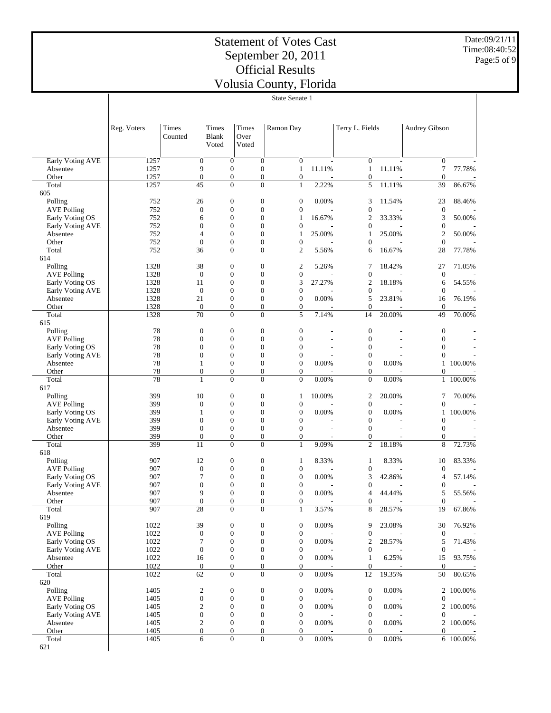Date:09/21/11 Time:08:40:52 Page:5 of 9

|                                       | State Senate 1 |                                      |                              |                                  |                                      |        |                                      |        |                                  |           |
|---------------------------------------|----------------|--------------------------------------|------------------------------|----------------------------------|--------------------------------------|--------|--------------------------------------|--------|----------------------------------|-----------|
|                                       |                |                                      |                              |                                  |                                      |        |                                      |        |                                  |           |
|                                       |                |                                      |                              |                                  |                                      |        |                                      |        |                                  |           |
|                                       |                |                                      |                              |                                  |                                      |        |                                      |        |                                  |           |
|                                       | Reg. Voters    | Times<br>Counted                     | Times<br>Blank               | Times<br>Over                    | Ramon Day                            |        | Terry L. Fields                      |        | <b>Audrey Gibson</b>             |           |
|                                       |                |                                      | Voted                        | Voted                            |                                      |        |                                      |        |                                  |           |
|                                       |                |                                      |                              |                                  |                                      |        |                                      |        |                                  |           |
| Early Voting AVE                      | 1257           | $\boldsymbol{0}$                     | $\boldsymbol{0}$             | $\mathbf{0}$                     | $\mathbf{0}$                         |        | $\boldsymbol{0}$                     |        | $\mathbf{0}$                     |           |
| Absentee                              | 1257           | 9                                    | $\mathbf{0}$                 | $\boldsymbol{0}$                 | 1                                    | 11.11% | $\mathbf{1}$                         | 11.11% | $\tau$                           | 77.78%    |
| Other                                 | 1257           | $\boldsymbol{0}$                     | $\mathbf{0}$                 | $\mathbf{0}$                     | $\mathbf{0}$                         |        | $\boldsymbol{0}$                     |        | $\mathbf{0}$                     |           |
| Total                                 | 1257           | 45                                   | $\mathbf{0}$                 | $\overline{0}$                   | $\mathbf{1}$                         | 2.22%  | 5                                    | 11.11% | 39                               | 86.67%    |
| 605                                   |                |                                      |                              |                                  |                                      |        |                                      |        |                                  |           |
| Polling                               | 752            | 26                                   | $\mathbf{0}$                 | $\boldsymbol{0}$                 | $\boldsymbol{0}$                     | 0.00%  | 3                                    | 11.54% | 23                               | 88.46%    |
| <b>AVE Polling</b>                    | 752            | $\boldsymbol{0}$                     | $\mathbf{0}$                 | $\boldsymbol{0}$                 | $\boldsymbol{0}$                     |        | $\boldsymbol{0}$                     |        | $\mathbf{0}$                     |           |
| Early Voting OS                       | 752            | 6                                    | $\mathbf{0}$                 | 0                                | 1                                    | 16.67% | 2                                    | 33.33% | 3                                | 50.00%    |
| Early Voting AVE                      | 752            | $\boldsymbol{0}$                     | $\mathbf{0}$                 | 0                                | $\mathbf{0}$                         |        | 0                                    |        | $\mathbf{0}$                     |           |
| Absentee                              | 752            | $\overline{4}$                       | $\mathbf{0}$                 | $\boldsymbol{0}$                 | 1                                    | 25.00% | 1                                    | 25.00% | $\overline{2}$                   | 50.00%    |
| Other<br>Total                        | 752<br>752     | $\boldsymbol{0}$<br>36               | $\mathbf{0}$<br>$\mathbf{0}$ | $\mathbf{0}$<br>$\overline{0}$   | $\mathbf{0}$<br>$\overline{c}$       | 5.56%  | $\boldsymbol{0}$<br>6                | 16.67% | $\mathbf{0}$<br>28               | 77.78%    |
| 614                                   |                |                                      |                              |                                  |                                      |        |                                      |        |                                  |           |
| Polling                               | 1328           | 38                                   | $\mathbf{0}$                 | $\boldsymbol{0}$                 | $\overline{\mathbf{c}}$              | 5.26%  | 7                                    | 18.42% | 27                               | 71.05%    |
| <b>AVE Polling</b>                    | 1328           | $\boldsymbol{0}$                     | $\mathbf{0}$                 | $\boldsymbol{0}$                 | $\mathbf{0}$                         |        | $\boldsymbol{0}$                     |        | $\mathbf{0}$                     |           |
| Early Voting OS                       | 1328           | 11                                   | $\mathbf{0}$                 | 0                                | 3                                    | 27.27% | $\mathfrak{2}$                       | 18.18% | 6                                | 54.55%    |
| Early Voting AVE                      | 1328           | $\mathbf{0}$                         | $\mathbf{0}$                 | 0                                | $\boldsymbol{0}$                     |        | 0                                    |        | $\mathbf{0}$                     |           |
| Absentee                              | 1328           | 21                                   | $\mathbf{0}$                 | $\boldsymbol{0}$                 | $\boldsymbol{0}$                     | 0.00%  | 5                                    | 23.81% | 16                               | 76.19%    |
| Other                                 | 1328           | $\boldsymbol{0}$                     | $\mathbf{0}$                 | $\mathbf{0}$                     | $\mathbf{0}$                         |        | $\boldsymbol{0}$                     |        | $\mathbf{0}$                     |           |
| Total                                 | 1328           | 70                                   | $\mathbf{0}$                 | $\overline{0}$                   | 5                                    | 7.14%  | 14                                   | 20.00% | 49                               | 70.00%    |
| 615                                   |                |                                      |                              |                                  |                                      |        |                                      |        |                                  |           |
| Polling                               | 78<br>78       | $\boldsymbol{0}$                     | $\mathbf{0}$                 | $\boldsymbol{0}$                 | $\boldsymbol{0}$                     |        | $\boldsymbol{0}$                     |        | $\mathbf{0}$                     |           |
| <b>AVE Polling</b>                    | 78             | $\boldsymbol{0}$<br>$\boldsymbol{0}$ | $\mathbf{0}$<br>$\mathbf{0}$ | $\boldsymbol{0}$<br>0            | $\boldsymbol{0}$<br>0                |        | $\boldsymbol{0}$<br>0                |        | $\boldsymbol{0}$<br>$\mathbf{0}$ |           |
| Early Voting OS<br>Early Voting AVE   | 78             | $\boldsymbol{0}$                     | $\mathbf{0}$                 | 0                                | 0                                    |        | 0                                    |        | $\mathbf{0}$                     |           |
| Absentee                              | 78             | 1                                    | $\mathbf{0}$                 | $\boldsymbol{0}$                 | $\mathbf{0}$                         | 0.00%  | $\boldsymbol{0}$                     | 0.00%  | 1                                | 100.00%   |
| Other                                 | 78             | $\boldsymbol{0}$                     | $\mathbf{0}$                 | $\mathbf{0}$                     | $\mathbf{0}$                         |        | 0                                    |        | $\boldsymbol{0}$                 |           |
| Total                                 | 78             | $\mathbf{1}$                         | $\mathbf{0}$                 | $\overline{0}$                   | $\overline{0}$                       | 0.00%  | $\boldsymbol{0}$                     | 0.00%  |                                  | 1 100.00% |
| 617                                   |                |                                      |                              |                                  |                                      |        |                                      |        |                                  |           |
| Polling                               | 399            | 10                                   | $\mathbf{0}$                 | $\boldsymbol{0}$                 | 1                                    | 10.00% | 2                                    | 20.00% | 7                                | 70.00%    |
| <b>AVE Polling</b>                    | 399            | $\boldsymbol{0}$                     | $\mathbf{0}$                 | 0                                | $\boldsymbol{0}$                     |        | $\boldsymbol{0}$                     |        | $\overline{0}$                   |           |
| Early Voting OS                       | 399            | 1                                    | $\mathbf{0}$                 | 0                                | $\boldsymbol{0}$                     | 0.00%  | $\boldsymbol{0}$                     | 0.00%  | $\mathbf{1}$                     | 100.00%   |
| Early Voting AVE                      | 399            | $\boldsymbol{0}$                     | $\mathbf{0}$                 | $\boldsymbol{0}$                 | $\boldsymbol{0}$                     |        | $\boldsymbol{0}$                     |        | $\mathbf{0}$                     |           |
| Absentee                              | 399            | $\boldsymbol{0}$<br>$\boldsymbol{0}$ | $\mathbf{0}$<br>$\mathbf{0}$ | $\mathbf{0}$<br>$\mathbf{0}$     | $\mathbf{0}$                         |        | $\boldsymbol{0}$                     |        | $\boldsymbol{0}$                 |           |
| Other<br>Total                        | 399<br>399     | 11                                   | $\mathbf{0}$                 | $\overline{0}$                   | 0<br>$\mathbf{1}$                    | 9.09%  | 0<br>$\overline{c}$                  | 18.18% | $\boldsymbol{0}$<br>8            | 72.73%    |
| 618                                   |                |                                      |                              |                                  |                                      |        |                                      |        |                                  |           |
| Polling                               | 907            | 12                                   | $\mathbf{0}$                 | $\boldsymbol{0}$                 | 1                                    | 8.33%  | $\mathbf{1}$                         | 8.33%  | 10                               | 83.33%    |
| <b>AVE Polling</b>                    | 907            | $\boldsymbol{0}$                     | $\mathbf{0}$                 | 0                                | $\mathbf{0}$                         |        | 0                                    |        | $\boldsymbol{0}$                 |           |
| Early Voting OS                       | 907            | 7                                    | $\mathbf{0}$                 | $\mathbf{0}$                     | $\boldsymbol{0}$                     | 0.00%  | 3                                    | 42.86% | $\overline{4}$                   | 57.14%    |
| Early Voting AVE                      | 907            | $\boldsymbol{0}$                     | $\overline{0}$               | $\mathbf{0}$                     | $\boldsymbol{0}$                     |        | $\boldsymbol{0}$                     |        | $\boldsymbol{0}$                 |           |
| Absentee                              | 907            | $\mathbf{Q}$                         | $\Omega$                     | $\Omega$                         | $\Omega$                             | 0.00%  | 4                                    | 44.44% | 5                                | 55.56%    |
| Other                                 | 907            | $\boldsymbol{0}$                     | $\mathbf{0}$                 | $\mathbf{0}$                     | $\boldsymbol{0}$                     |        | $\boldsymbol{0}$                     |        | $\mathbf{0}$                     |           |
| Total                                 | 907            | $\overline{28}$                      | $\mathbf{0}$                 | $\boldsymbol{0}$                 | $\mathbf{1}$                         | 3.57%  | 8                                    | 28.57% | 19                               | 67.86%    |
| 619                                   |                |                                      |                              |                                  |                                      |        |                                      |        |                                  |           |
| Polling                               | 1022           | 39                                   | $\boldsymbol{0}$             | $\boldsymbol{0}$                 | $\boldsymbol{0}$                     | 0.00%  | 9                                    | 23.08% | 30                               | 76.92%    |
| <b>AVE Polling</b><br>Early Voting OS | 1022<br>1022   | $\boldsymbol{0}$<br>7                | $\mathbf{0}$<br>$\mathbf{0}$ | $\mathbf{0}$<br>$\boldsymbol{0}$ | $\boldsymbol{0}$<br>$\boldsymbol{0}$ | 0.00%  | $\boldsymbol{0}$<br>2                | 28.57% | $\boldsymbol{0}$<br>5            | 71.43%    |
| Early Voting AVE                      | 1022           | $\boldsymbol{0}$                     | $\mathbf{0}$                 | $\boldsymbol{0}$                 | $\boldsymbol{0}$                     |        | $\boldsymbol{0}$                     |        | $\mathbf{0}$                     |           |
| Absentee                              | 1022           | 16                                   | $\boldsymbol{0}$             | $\boldsymbol{0}$                 | $\boldsymbol{0}$                     | 0.00%  | $\mathbf{1}$                         | 6.25%  | 15                               | 93.75%    |
| Other                                 | 1022           | $\boldsymbol{0}$                     | $\boldsymbol{0}$             | $\boldsymbol{0}$                 | $\boldsymbol{0}$                     |        | $\boldsymbol{0}$                     |        | $\mathbf{0}$                     |           |
| Total                                 | 1022           | 62                                   | $\mathbf{0}$                 | $\boldsymbol{0}$                 | $\boldsymbol{0}$                     | 0.00%  | 12                                   | 19.35% | 50                               | 80.65%    |
| 620                                   |                |                                      |                              |                                  |                                      |        |                                      |        |                                  |           |
| Polling                               | 1405           | $\boldsymbol{2}$                     | $\boldsymbol{0}$             | $\boldsymbol{0}$                 | $\boldsymbol{0}$                     | 0.00%  | $\boldsymbol{0}$                     | 0.00%  |                                  | 2 100.00% |
| <b>AVE Polling</b>                    | 1405           | $\boldsymbol{0}$                     | $\mathbf{0}$                 | $\boldsymbol{0}$                 | $\boldsymbol{0}$                     |        | $\boldsymbol{0}$                     |        | $\boldsymbol{0}$                 |           |
| Early Voting OS                       | 1405           | $\overline{c}$                       | $\mathbf{0}$                 | $\boldsymbol{0}$                 | $\boldsymbol{0}$                     | 0.00%  | $\boldsymbol{0}$                     | 0.00%  |                                  | 2 100.00% |
| Early Voting AVE                      | 1405           | $\boldsymbol{0}$                     | $\mathbf{0}$                 | $\boldsymbol{0}$                 | $\boldsymbol{0}$                     |        | $\boldsymbol{0}$                     |        | $\boldsymbol{0}$                 |           |
| Absentee                              | 1405           | $\mathbf{2}$                         | $\mathbf{0}$                 | $\boldsymbol{0}$                 | $\mathbf{0}$                         | 0.00%  | $\boldsymbol{0}$                     | 0.00%  |                                  | 2 100.00% |
| Other<br>Total                        | 1405<br>1405   | $\boldsymbol{0}$<br>6                | $\mathbf{0}$<br>$\mathbf{0}$ | $\mathbf{0}$<br>$\boldsymbol{0}$ | $\mathbf{0}$<br>$\mathbf{0}$         | 0.00%  | $\boldsymbol{0}$<br>$\boldsymbol{0}$ | 0.00%  | $\mathbf{0}$                     | 6 100.00% |
| 621                                   |                |                                      |                              |                                  |                                      |        |                                      |        |                                  |           |
|                                       |                |                                      |                              |                                  |                                      |        |                                      |        |                                  |           |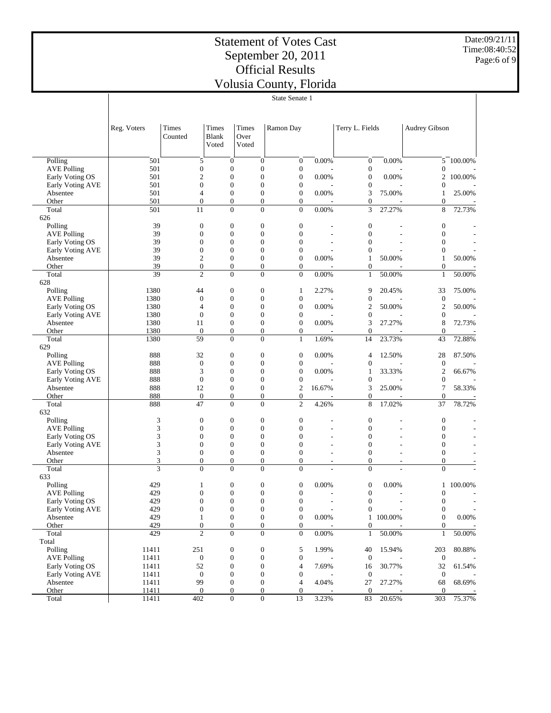Date:09/21/11 Time:08:40:52 Page:6 of 9

|                    |                 |                                    |       |                                    | State Senate 1                                                           |                          |                                    |           |                              |           |
|--------------------|-----------------|------------------------------------|-------|------------------------------------|--------------------------------------------------------------------------|--------------------------|------------------------------------|-----------|------------------------------|-----------|
|                    |                 |                                    |       |                                    |                                                                          |                          |                                    |           |                              |           |
|                    |                 |                                    |       |                                    |                                                                          |                          |                                    |           |                              |           |
|                    | Reg. Voters     | Times                              | Times | Times                              | Ramon Day                                                                |                          | Terry L. Fields                    |           | Audrey Gibson                |           |
|                    |                 | Counted                            | Blank | Over                               |                                                                          |                          |                                    |           |                              |           |
|                    |                 |                                    | Voted | Voted                              |                                                                          |                          |                                    |           |                              |           |
|                    |                 |                                    |       |                                    |                                                                          |                          |                                    |           |                              |           |
| Polling            | 501             | 5                                  |       | $\mathbf{0}$                       | $\boldsymbol{0}$<br>$\boldsymbol{0}$                                     | 0.00%                    | $\mathbf{0}$                       | 0.00%     |                              | 5 100.00% |
| <b>AVE Polling</b> | 501             | $\boldsymbol{0}$                   |       | $\mathbf{0}$                       | $\boldsymbol{0}$<br>$\boldsymbol{0}$                                     |                          | $\boldsymbol{0}$                   |           | $\mathbf{0}$                 |           |
| Early Voting OS    | 501             | $\mathfrak{2}$                     |       | $\mathbf{0}$                       | $\boldsymbol{0}$<br>$\boldsymbol{0}$                                     | 0.00%                    | $\boldsymbol{0}$                   | 0.00%     | 2                            | 100.00%   |
| Early Voting AVE   | 501             | $\overline{0}$                     |       | $\mathbf{0}$                       | $\overline{0}$<br>$\boldsymbol{0}$                                       |                          | $\boldsymbol{0}$                   |           | $\mathbf{0}$                 |           |
| Absentee           | 501<br>501      | 4<br>$\overline{0}$                |       | $\boldsymbol{0}$<br>$\mathbf{0}$   | $\boldsymbol{0}$<br>$\boldsymbol{0}$<br>$\boldsymbol{0}$                 | 0.00%                    | 3                                  | 75.00%    | 1                            | 25.00%    |
| Other<br>Total     | 501             | 11                                 |       | $\overline{0}$                     | 0<br>$\boldsymbol{0}$<br>$\boldsymbol{0}$                                | 0.00%                    | $\boldsymbol{0}$<br>3              | 27.27%    | $\overline{0}$<br>8          | 72.73%    |
| 626                |                 |                                    |       |                                    |                                                                          |                          |                                    |           |                              |           |
| Polling            | 39              | $\mathbf{0}$                       |       | $\boldsymbol{0}$                   | $\boldsymbol{0}$<br>$\boldsymbol{0}$                                     |                          | $\mathbf{0}$                       |           | $\mathbf{0}$                 |           |
| <b>AVE Polling</b> | 39              | $\mathbf{0}$                       |       | $\mathbf{0}$                       | $\overline{0}$<br>$\overline{0}$                                         |                          | $\overline{0}$                     |           | $\mathbf{0}$                 |           |
| Early Voting OS    | 39              | $\boldsymbol{0}$                   |       | $\mathbf{0}$                       | $\boldsymbol{0}$<br>$\boldsymbol{0}$                                     |                          | $\mathbf{0}$                       |           | $\mathbf{0}$                 |           |
| Early Voting AVE   | 39              | $\overline{0}$                     |       | $\mathbf{0}$                       | $\overline{0}$<br>$\mathbf{0}$                                           |                          | $\overline{0}$                     |           | $\mathbf{0}$                 |           |
| Absentee           | 39              | $\mathfrak{2}$                     |       | $\boldsymbol{0}$                   | $\boldsymbol{0}$<br>$\boldsymbol{0}$                                     | 0.00%                    | $\mathbf{1}$                       | 50.00%    | 1                            | 50.00%    |
| Other              | 39              | $\boldsymbol{0}$                   |       | $\mathbf{0}$                       | $\boldsymbol{0}$<br>$\boldsymbol{0}$                                     |                          | $\boldsymbol{0}$                   |           | $\mathbf{0}$                 |           |
| Total              | $\overline{39}$ | $\overline{c}$                     |       | $\overline{0}$                     | $\boldsymbol{0}$<br>$\boldsymbol{0}$                                     | 0.00%                    | $\mathbf{1}$                       | 50.00%    | $\mathbf{1}$                 | 50.00%    |
| 628                |                 |                                    |       |                                    |                                                                          |                          |                                    |           |                              |           |
| Polling            | 1380            | 44                                 |       | $\boldsymbol{0}$                   | $\boldsymbol{0}$<br>1                                                    | 2.27%                    | 9                                  | 20.45%    | 33                           | 75.00%    |
| <b>AVE Polling</b> | 1380            | $\mathbf{0}$                       |       | $\mathbf{0}$                       | $\overline{0}$<br>$\boldsymbol{0}$                                       |                          | $\boldsymbol{0}$                   |           | $\boldsymbol{0}$             |           |
| Early Voting OS    | 1380            | 4                                  |       | $\boldsymbol{0}$                   | $\boldsymbol{0}$<br>$\boldsymbol{0}$                                     | 0.00%                    | $\overline{2}$                     | 50.00%    | $\overline{c}$               | 50.00%    |
| Early Voting AVE   | 1380            | $\overline{0}$                     |       | $\mathbf{0}$                       | $\overline{0}$<br>$\boldsymbol{0}$                                       |                          | $\boldsymbol{0}$                   |           | $\boldsymbol{0}$             |           |
| Absentee           | 1380            | 11                                 |       | $\boldsymbol{0}$                   | $\boldsymbol{0}$<br>$\boldsymbol{0}$                                     | 0.00%                    | 3                                  | 27.27%    | 8                            | 72.73%    |
| Other<br>Total     | 1380<br>1380    | $\theta$<br>59                     |       | $\mathbf{0}$<br>$\boldsymbol{0}$   | $\overline{0}$<br>$\boldsymbol{0}$<br>$\boldsymbol{0}$<br>$\mathbf{1}$   | 1.69%                    | $\mathbf{0}$<br>14                 | 23.73%    | $\mathbf{0}$<br>43           | 72.88%    |
| 629                |                 |                                    |       |                                    |                                                                          |                          |                                    |           |                              |           |
| Polling            | 888             | 32                                 |       | $\boldsymbol{0}$                   | $\boldsymbol{0}$<br>$\boldsymbol{0}$                                     | 0.00%                    | $\overline{4}$                     | 12.50%    | 28                           | 87.50%    |
| <b>AVE Polling</b> | 888             | $\mathbf{0}$                       |       | $\mathbf{0}$                       | $\overline{0}$<br>$\boldsymbol{0}$                                       |                          | $\boldsymbol{0}$                   |           | $\boldsymbol{0}$             |           |
| Early Voting OS    | 888             | 3                                  |       | $\boldsymbol{0}$                   | $\boldsymbol{0}$<br>$\boldsymbol{0}$                                     | 0.00%                    | 1                                  | 33.33%    | $\overline{2}$               | 66.67%    |
| Early Voting AVE   | 888             | $\mathbf{0}$                       |       | $\mathbf{0}$                       | $\overline{0}$<br>$\boldsymbol{0}$                                       |                          | $\boldsymbol{0}$                   |           | $\boldsymbol{0}$             |           |
| Absentee           | 888             | 12                                 |       | $\boldsymbol{0}$                   | $\overline{c}$<br>$\boldsymbol{0}$                                       | 16.67%                   | 3                                  | 25.00%    | 7                            | 58.33%    |
| Other              | 888             | $\mathbf{0}$                       |       | $\mathbf{0}$                       | $\boldsymbol{0}$<br>$\boldsymbol{0}$                                     |                          | $\boldsymbol{0}$                   |           | $\boldsymbol{0}$             |           |
| Total              | 888             | $\overline{47}$                    |       | $\overline{0}$                     | $\overline{c}$<br>$\boldsymbol{0}$                                       | 4.26%                    | 8                                  | 17.02%    | 37                           | 78.72%    |
| 632                |                 |                                    |       |                                    |                                                                          |                          |                                    |           |                              |           |
| Polling            | 3               | $\mathbf{0}$                       |       | $\boldsymbol{0}$                   | $\boldsymbol{0}$<br>$\boldsymbol{0}$                                     |                          | $\mathbf{0}$                       |           | $\mathbf{0}$                 |           |
| <b>AVE Polling</b> | 3               | $\theta$                           |       | $\mathbf{0}$                       | $\overline{0}$<br>$\overline{0}$                                         |                          | $\overline{0}$                     | ÷.        | $\mathbf{0}$                 |           |
| Early Voting OS    | 3               | $\theta$                           |       | $\mathbf{0}$                       | $\boldsymbol{0}$<br>$\overline{0}$                                       |                          | $\mathbf{0}$                       |           | $\mathbf{0}$                 |           |
| Early Voting AVE   | 3               | $\overline{0}$                     |       | $\mathbf{0}$                       | $\overline{0}$<br>$\overline{0}$                                         |                          | $\overline{0}$                     |           | $\mathbf{0}$                 |           |
| Absentee           | 3<br>3          | $\boldsymbol{0}$<br>$\overline{0}$ |       | $\boldsymbol{0}$<br>$\overline{0}$ | $\boldsymbol{0}$<br>$\overline{0}$<br>$\boldsymbol{0}$<br>$\overline{0}$ |                          | $\boldsymbol{0}$<br>$\overline{0}$ |           | $\mathbf{0}$<br>$\mathbf{0}$ |           |
| Other<br>Total     | 3               | $\overline{0}$                     |       | $\overline{0}$                     | $\boldsymbol{0}$<br>$\overline{0}$                                       | $\tilde{\phantom{a}}$    | $\overline{0}$                     | ٠         | $\mathbf{0}$                 |           |
| 633                |                 |                                    |       |                                    |                                                                          |                          |                                    |           |                              |           |
| Polling            | 429             | 1                                  |       | $\boldsymbol{0}$                   | $\boldsymbol{0}$<br>$\boldsymbol{0}$                                     | 0.00%                    | $\boldsymbol{0}$                   | 0.00%     |                              | 1 100.00% |
| <b>AVE Polling</b> | 429             | $\mathbf{0}$                       |       | $\mathbf{0}$                       | $\overline{0}$<br>$\overline{0}$                                         |                          | $\mathbf{0}$                       |           | $\overline{0}$               |           |
| Early Voting OS    | 429             | $\boldsymbol{0}$                   |       | $\boldsymbol{0}$                   | $\boldsymbol{0}$<br>$\boldsymbol{0}$                                     | $\overline{\phantom{a}}$ | $\boldsymbol{0}$                   |           | $\boldsymbol{0}$             |           |
| Early Voting AVE   | 429             | $\boldsymbol{0}$                   |       | $\boldsymbol{0}$                   | $\boldsymbol{0}$<br>$\boldsymbol{0}$                                     |                          | $\boldsymbol{0}$                   |           | $\mathbf{0}$                 |           |
| Absentee           | 429             | $\mathbf{1}$                       |       | $\boldsymbol{0}$                   | $\boldsymbol{0}$<br>$\boldsymbol{0}$                                     | 0.00%                    |                                    | 1 100.00% | $\mathbf{0}$                 | $0.00\%$  |
| Other              | 429             | $\boldsymbol{0}$                   |       | $\boldsymbol{0}$                   | $\boldsymbol{0}$<br>$\mathbf{0}$                                         |                          | $\boldsymbol{0}$                   |           | $\overline{0}$               |           |
| Total              | 429             | $\overline{c}$                     |       | $\boldsymbol{0}$                   | $\boldsymbol{0}$<br>$\mathbf{0}$                                         | $0.00\%$                 | $\mathbf{1}$                       | 50.00%    | $\mathbf{1}$                 | 50.00%    |
| Total              |                 |                                    |       |                                    |                                                                          |                          |                                    |           |                              |           |
| Polling            | 11411           | 251                                |       | $\boldsymbol{0}$                   | $\boldsymbol{0}$<br>5                                                    | 1.99%                    | 40                                 | 15.94%    | 203                          | 80.88%    |
| <b>AVE Polling</b> | 11411           | $\boldsymbol{0}$                   |       | $\boldsymbol{0}$                   | $\boldsymbol{0}$<br>$\boldsymbol{0}$                                     |                          | $\mathbf{0}$                       |           | $\mathbf{0}$                 |           |
| Early Voting OS    | 11411           | 52                                 |       | $\boldsymbol{0}$                   | $\boldsymbol{0}$<br>$\overline{4}$                                       | 7.69%                    | 16                                 | 30.77%    | 32                           | 61.54%    |
| Early Voting AVE   | 11411           | $\boldsymbol{0}$                   |       | $\boldsymbol{0}$                   | $\boldsymbol{0}$<br>$\boldsymbol{0}$                                     |                          | $\boldsymbol{0}$                   |           | $\mathbf{0}$                 |           |
| Absentee           | 11411           | 99                                 |       | $\boldsymbol{0}$                   | $\boldsymbol{0}$<br>$\overline{4}$                                       | 4.04%                    | 27                                 | 27.27%    | 68                           | 68.69%    |
| Other              | 11411           | $\mathbf{0}$                       |       | $\mathbf{0}$                       | $\overline{0}$<br>$\mathbf{0}$                                           |                          | $\mathbf{0}$                       |           | $\overline{0}$               |           |
| Total              | 11411           | 402                                |       | $\boldsymbol{0}$                   | $\boldsymbol{0}$<br>13                                                   | 3.23%                    | 83                                 | 20.65%    | 303                          | 75.37%    |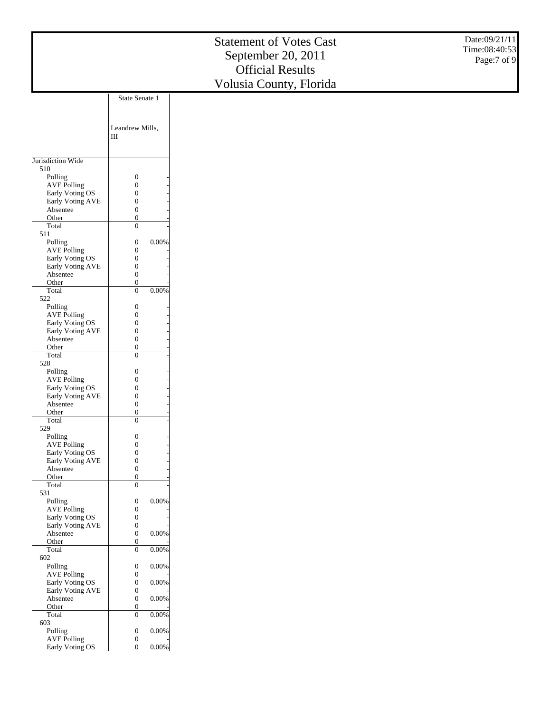|                                       |                                                  | <b>Statement of Votes Cast</b>                | Date:09/21/11<br>Time:08:40:53 |
|---------------------------------------|--------------------------------------------------|-----------------------------------------------|--------------------------------|
|                                       |                                                  | September 20, 2011<br><b>Official Results</b> | Page:7 of 9                    |
|                                       |                                                  |                                               |                                |
|                                       |                                                  | Volusia County, Florida                       |                                |
|                                       | State Senate 1                                   |                                               |                                |
|                                       |                                                  |                                               |                                |
|                                       | Leandrew Mills,                                  |                                               |                                |
|                                       | Ш                                                |                                               |                                |
|                                       |                                                  |                                               |                                |
| Jurisdiction Wide                     |                                                  |                                               |                                |
| 510<br>Polling                        | $\boldsymbol{0}$                                 |                                               |                                |
| <b>AVE Polling</b>                    | $\boldsymbol{0}$                                 |                                               |                                |
| Early Voting OS                       | $\boldsymbol{0}$                                 |                                               |                                |
| Early Voting AVE                      | $\boldsymbol{0}$                                 |                                               |                                |
| Absentee<br>Other                     | $\boldsymbol{0}$<br>$\boldsymbol{0}$             |                                               |                                |
| Total                                 | $\boldsymbol{0}$                                 |                                               |                                |
| 511                                   |                                                  |                                               |                                |
| Polling                               | $0.00\%$<br>$\boldsymbol{0}$<br>$\boldsymbol{0}$ |                                               |                                |
| <b>AVE Polling</b><br>Early Voting OS | $\boldsymbol{0}$                                 |                                               |                                |
| Early Voting AVE                      | $\boldsymbol{0}$                                 |                                               |                                |
| Absentee                              | $\boldsymbol{0}$                                 |                                               |                                |
| Other                                 | $\boldsymbol{0}$<br>$\boldsymbol{0}$<br>0.00%    |                                               |                                |
| Total<br>522                          |                                                  |                                               |                                |
| Polling                               | $\boldsymbol{0}$                                 |                                               |                                |
| <b>AVE Polling</b>                    | $\boldsymbol{0}$                                 |                                               |                                |
| Early Voting OS<br>Early Voting AVE   | $\boldsymbol{0}$<br>$\boldsymbol{0}$             |                                               |                                |
| Absentee                              | $\boldsymbol{0}$                                 |                                               |                                |
| Other                                 | $\boldsymbol{0}$                                 |                                               |                                |
| Total                                 | $\boldsymbol{0}$                                 |                                               |                                |
| 528<br>Polling                        | $\boldsymbol{0}$                                 |                                               |                                |
| <b>AVE Polling</b>                    | $\boldsymbol{0}$                                 |                                               |                                |
| Early Voting OS                       | $\boldsymbol{0}$                                 |                                               |                                |
| Early Voting AVE                      | $\boldsymbol{0}$                                 |                                               |                                |
| Absentee<br>Other                     | $\boldsymbol{0}$<br>$\boldsymbol{0}$             |                                               |                                |
| Total                                 | $\boldsymbol{0}$                                 |                                               |                                |
| 529                                   |                                                  |                                               |                                |
| Polling                               | $\boldsymbol{0}$                                 |                                               |                                |
| <b>AVE Polling</b><br>Early Voting OS | $\boldsymbol{0}$<br>$\boldsymbol{0}$             |                                               |                                |
| Early Voting AVE                      | $\boldsymbol{0}$                                 |                                               |                                |
| Absentee                              | $\boldsymbol{0}$                                 |                                               |                                |
| Other<br>Total                        | $\overline{0}$<br>$\boldsymbol{0}$               |                                               |                                |
| 531                                   |                                                  |                                               |                                |
| Polling                               | $0.00\%$<br>$\boldsymbol{0}$                     |                                               |                                |
| <b>AVE Polling</b>                    | $\boldsymbol{0}$                                 |                                               |                                |
| Early Voting OS<br>Early Voting AVE   | $\boldsymbol{0}$<br>$\boldsymbol{0}$             |                                               |                                |
| Absentee                              | 0.00%<br>$\boldsymbol{0}$                        |                                               |                                |
| Other                                 | $\overline{0}$                                   |                                               |                                |
| Total<br>602                          | 0.00%<br>$\mathbf{0}$                            |                                               |                                |
| Polling                               | $\boldsymbol{0}$<br>$0.00\%$                     |                                               |                                |
| <b>AVE Polling</b>                    | $\boldsymbol{0}$                                 |                                               |                                |
| Early Voting OS                       | $0.00\%$<br>$\boldsymbol{0}$                     |                                               |                                |
| Early Voting AVE                      | $\boldsymbol{0}$                                 |                                               |                                |
| Absentee<br>Other                     | $0.00\%$<br>$\boldsymbol{0}$<br>$\boldsymbol{0}$ |                                               |                                |
| Total                                 | 0.00%<br>$\boldsymbol{0}$                        |                                               |                                |
| 603                                   |                                                  |                                               |                                |
| Polling                               | 0.00%<br>$\boldsymbol{0}$                        |                                               |                                |
| <b>AVE Polling</b><br>Early Voting OS | $\boldsymbol{0}$<br>$\overline{0}$<br>$0.00\%$   |                                               |                                |
|                                       |                                                  |                                               |                                |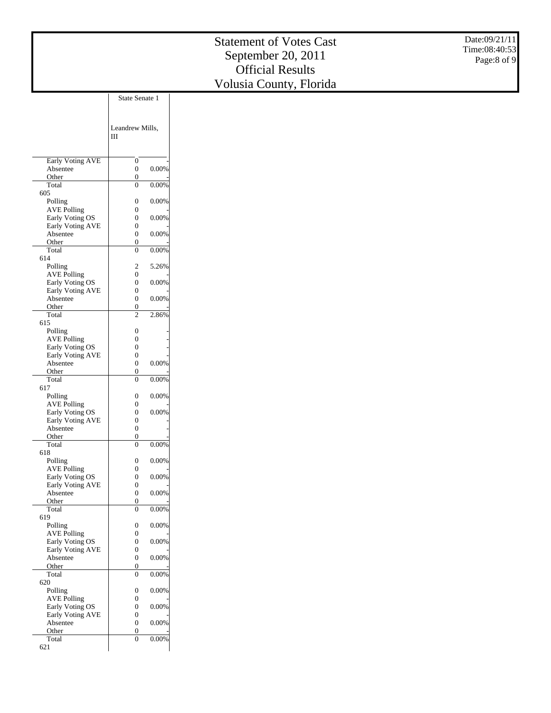|                                       |                                                  | <b>Statement of Votes Cast</b> | Date:09/21/11<br>Time:08:40:53 |
|---------------------------------------|--------------------------------------------------|--------------------------------|--------------------------------|
|                                       |                                                  | September 20, 2011             | Page:8 of 9                    |
|                                       |                                                  | <b>Official Results</b>        |                                |
|                                       |                                                  | Volusia County, Florida        |                                |
|                                       | State Senate 1                                   |                                |                                |
|                                       |                                                  |                                |                                |
|                                       |                                                  |                                |                                |
|                                       | Leandrew Mills,                                  |                                |                                |
|                                       | Ш                                                |                                |                                |
|                                       |                                                  |                                |                                |
| <b>Early Voting AVE</b>               | $\mathbf{0}$<br>$0.00\%$                         |                                |                                |
| Absentee<br>Other                     | $\boldsymbol{0}$<br>$\boldsymbol{0}$             |                                |                                |
| Total                                 | 0.00%<br>$\boldsymbol{0}$                        |                                |                                |
| 605<br>Polling                        | 0.00%<br>$\boldsymbol{0}$                        |                                |                                |
| <b>AVE Polling</b>                    | $\boldsymbol{0}$                                 |                                |                                |
| Early Voting OS                       | $\boldsymbol{0}$<br>$0.00\%$                     |                                |                                |
| Early Voting AVE<br>Absentee          | $\boldsymbol{0}$<br>$0.00\%$<br>$\boldsymbol{0}$ |                                |                                |
| Other                                 | $\boldsymbol{0}$                                 |                                |                                |
| Total<br>614                          | 0.00%<br>$\boldsymbol{0}$                        |                                |                                |
| Polling                               | $\overline{\mathbf{c}}$<br>5.26%                 |                                |                                |
| <b>AVE Polling</b>                    | $\boldsymbol{0}$                                 |                                |                                |
| Early Voting OS<br>Early Voting AVE   | $\boldsymbol{0}$<br>$0.00\%$<br>$\boldsymbol{0}$ |                                |                                |
| Absentee                              | $0.00\%$<br>$\boldsymbol{0}$                     |                                |                                |
| Other<br>Total                        | $\boldsymbol{0}$<br>$\sqrt{2}$<br>2.86%          |                                |                                |
| 615                                   |                                                  |                                |                                |
| Polling                               | $\boldsymbol{0}$                                 |                                |                                |
| <b>AVE Polling</b><br>Early Voting OS | $\boldsymbol{0}$<br>$\boldsymbol{0}$             |                                |                                |
| Early Voting AVE                      | $\boldsymbol{0}$                                 |                                |                                |
| Absentee                              | $\boldsymbol{0}$<br>0.00%                        |                                |                                |
| Other<br>Total                        | $\boldsymbol{0}$<br>0.00%<br>$\boldsymbol{0}$    |                                |                                |
| 617                                   |                                                  |                                |                                |
| Polling<br><b>AVE Polling</b>         | 0.00%<br>$\boldsymbol{0}$<br>$\boldsymbol{0}$    |                                |                                |
| Early Voting OS                       | $\boldsymbol{0}$<br>0.00%                        |                                |                                |
| Early Voting AVE                      | $\boldsymbol{0}$                                 |                                |                                |
| Absentee<br>Other                     | $\boldsymbol{0}$<br>$\overline{0}$               |                                |                                |
| Total                                 | $\overline{0}$<br>0.00%                          |                                |                                |
| 618<br>Polling                        | $0.00\%$<br>$\boldsymbol{0}$                     |                                |                                |
| AVE Polling                           | $\boldsymbol{0}$                                 |                                |                                |
| Early Voting OS                       | $0.00\%$<br>$\boldsymbol{0}$                     |                                |                                |
| Early Voting AVE<br>Absentee          | $\boldsymbol{0}$<br>$0.00\%$<br>$\boldsymbol{0}$ |                                |                                |
| Other                                 | $\mathbf{0}$                                     |                                |                                |
| Total<br>619                          | 0.00%<br>$\mathbf{0}$                            |                                |                                |
| Polling                               | $0.00\%$<br>$\boldsymbol{0}$                     |                                |                                |
| <b>AVE Polling</b>                    | $\boldsymbol{0}$                                 |                                |                                |
| Early Voting OS<br>Early Voting AVE   | 0.00%<br>$\boldsymbol{0}$<br>$\boldsymbol{0}$    |                                |                                |
| Absentee                              | 0.00%<br>$\boldsymbol{0}$                        |                                |                                |
| Other<br>Total                        | $\boldsymbol{0}$<br>0.00%<br>$\boldsymbol{0}$    |                                |                                |
| 620                                   |                                                  |                                |                                |
| Polling                               | $\boldsymbol{0}$<br>$0.00\%$                     |                                |                                |

 AVE Pollin g Early Voting OS Early Voting AV E Absentee Othe r Tota l 621

0 - 0 0.00% 0 - 0 0.00%  $0$  - $0.00\%$